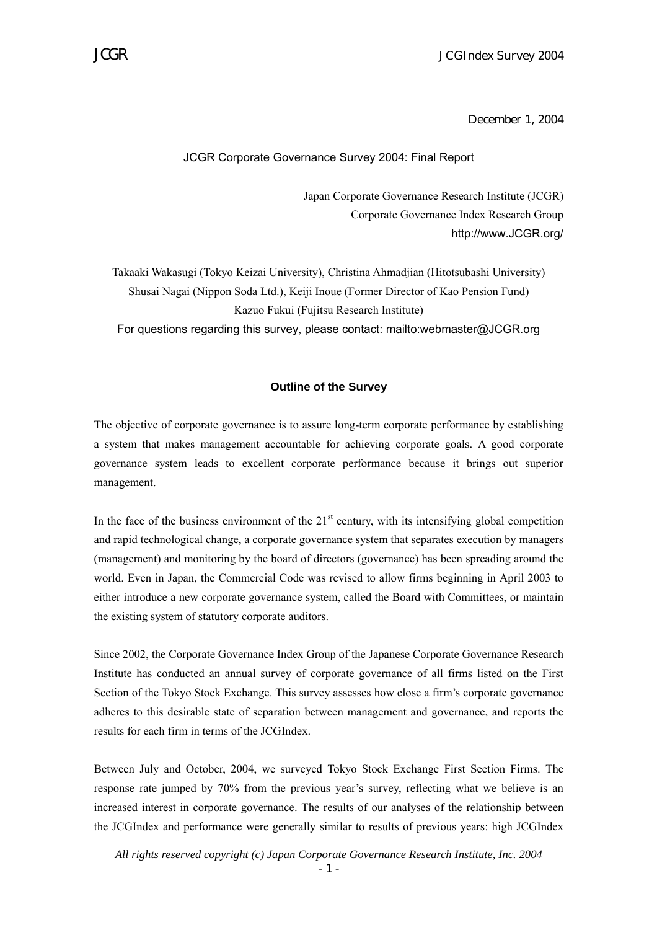#### December 1, 2004

#### JCGR Corporate Governance Survey 2004: Final Report

Japan Corporate Governance Research Institute (JCGR) Corporate Governance Index Research Group http://www.JCGR.org/

Takaaki Wakasugi (Tokyo Keizai University), Christina Ahmadjian (Hitotsubashi University) Shusai Nagai (Nippon Soda Ltd.), Keiji Inoue (Former Director of Kao Pension Fund) Kazuo Fukui (Fujitsu Research Institute) For questions regarding this survey, please contact: mailto:webmaster@JCGR.org

#### **Outline of the Survey**

The objective of corporate governance is to assure long-term corporate performance by establishing a system that makes management accountable for achieving corporate goals. A good corporate governance system leads to excellent corporate performance because it brings out superior management.

In the face of the business environment of the  $21<sup>st</sup>$  century, with its intensifying global competition and rapid technological change, a corporate governance system that separates execution by managers (management) and monitoring by the board of directors (governance) has been spreading around the world. Even in Japan, the Commercial Code was revised to allow firms beginning in April 2003 to either introduce a new corporate governance system, called the Board with Committees, or maintain the existing system of statutory corporate auditors.

Since 2002, the Corporate Governance Index Group of the Japanese Corporate Governance Research Institute has conducted an annual survey of corporate governance of all firms listed on the First Section of the Tokyo Stock Exchange. This survey assesses how close a firm's corporate governance adheres to this desirable state of separation between management and governance, and reports the results for each firm in terms of the JCGIndex.

Between July and October, 2004, we surveyed Tokyo Stock Exchange First Section Firms. The response rate jumped by 70% from the previous year's survey, reflecting what we believe is an increased interest in corporate governance. The results of our analyses of the relationship between the JCGIndex and performance were generally similar to results of previous years: high JCGIndex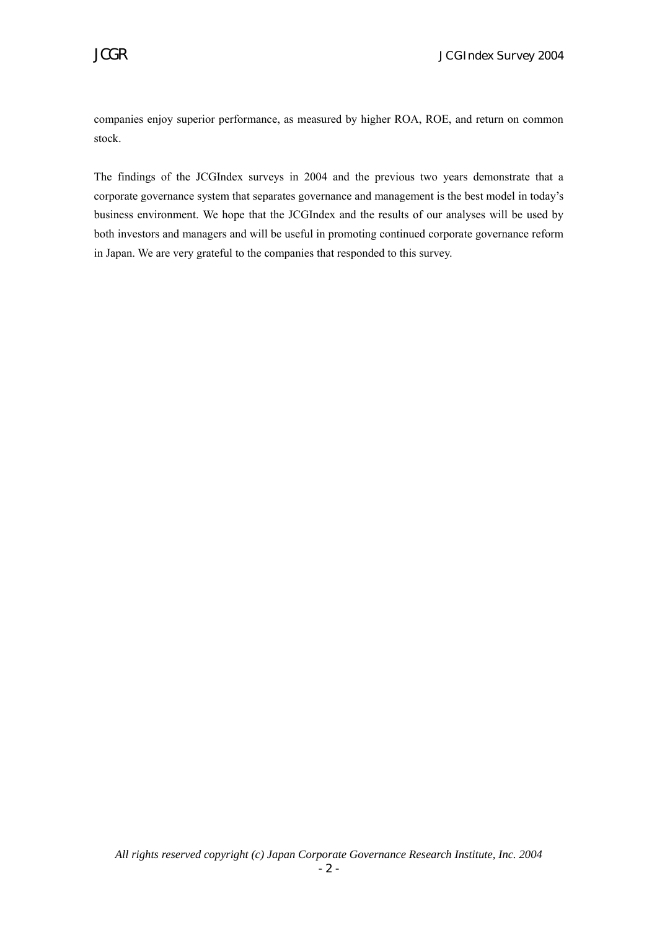companies enjoy superior performance, as measured by higher ROA, ROE, and return on common stock.

The findings of the JCGIndex surveys in 2004 and the previous two years demonstrate that a corporate governance system that separates governance and management is the best model in today's business environment. We hope that the JCGIndex and the results of our analyses will be used by both investors and managers and will be useful in promoting continued corporate governance reform in Japan. We are very grateful to the companies that responded to this survey.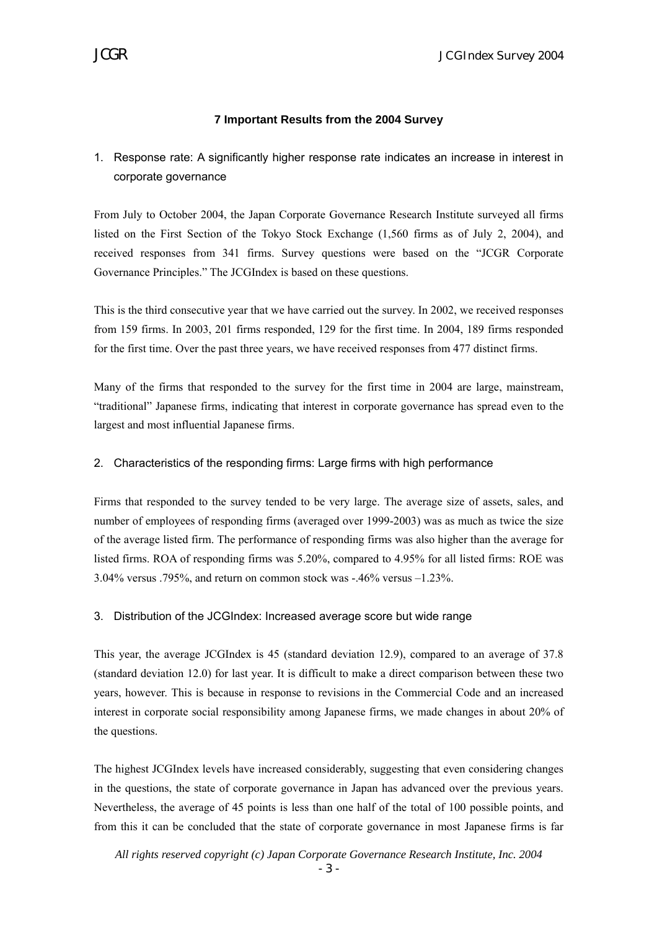# **7 Important Results from the 2004 Survey**

1. Response rate: A significantly higher response rate indicates an increase in interest in corporate governance

From July to October 2004, the Japan Corporate Governance Research Institute surveyed all firms listed on the First Section of the Tokyo Stock Exchange (1,560 firms as of July 2, 2004), and received responses from 341 firms. Survey questions were based on the "JCGR Corporate Governance Principles." The JCGIndex is based on these questions.

This is the third consecutive year that we have carried out the survey. In 2002, we received responses from 159 firms. In 2003, 201 firms responded, 129 for the first time. In 2004, 189 firms responded for the first time. Over the past three years, we have received responses from 477 distinct firms.

Many of the firms that responded to the survey for the first time in 2004 are large, mainstream, "traditional" Japanese firms, indicating that interest in corporate governance has spread even to the largest and most influential Japanese firms.

## 2. Characteristics of the responding firms: Large firms with high performance

Firms that responded to the survey tended to be very large. The average size of assets, sales, and number of employees of responding firms (averaged over 1999-2003) was as much as twice the size of the average listed firm. The performance of responding firms was also higher than the average for listed firms. ROA of responding firms was 5.20%, compared to 4.95% for all listed firms: ROE was 3.04% versus .795%, and return on common stock was -.46% versus –1.23%.

## 3. Distribution of the JCGIndex: Increased average score but wide range

This year, the average JCGIndex is 45 (standard deviation 12.9), compared to an average of 37.8 (standard deviation 12.0) for last year. It is difficult to make a direct comparison between these two years, however. This is because in response to revisions in the Commercial Code and an increased interest in corporate social responsibility among Japanese firms, we made changes in about 20% of the questions.

The highest JCGIndex levels have increased considerably, suggesting that even considering changes in the questions, the state of corporate governance in Japan has advanced over the previous years. Nevertheless, the average of 45 points is less than one half of the total of 100 possible points, and from this it can be concluded that the state of corporate governance in most Japanese firms is far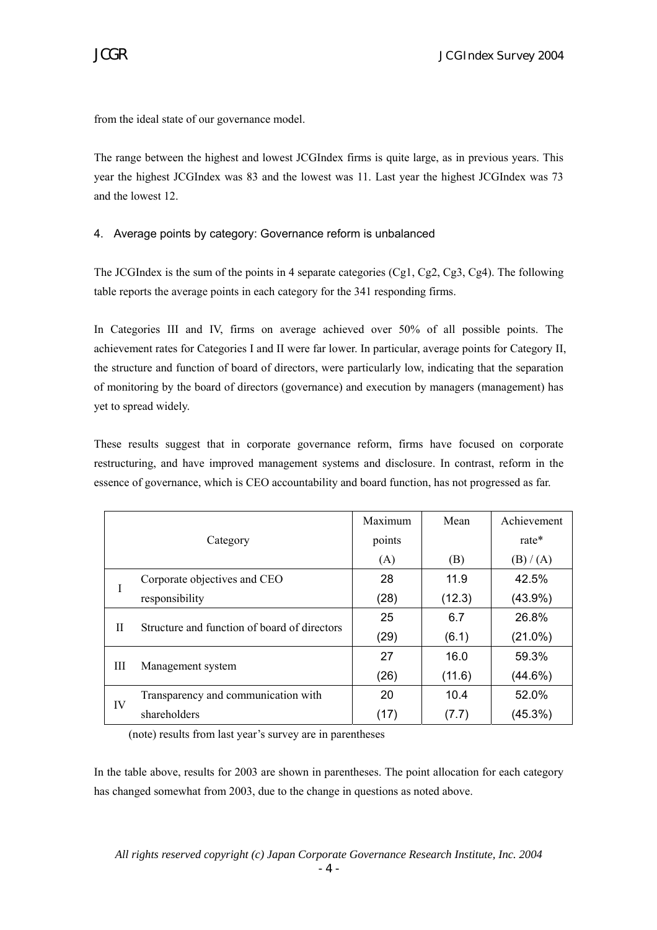from the ideal state of our governance model.

The range between the highest and lowest JCGIndex firms is quite large, as in previous years. This year the highest JCGIndex was 83 and the lowest was 11. Last year the highest JCGIndex was 73 and the lowest 12.

# 4. Average points by category: Governance reform is unbalanced

The JCGIndex is the sum of the points in 4 separate categories (Cg1, Cg2, Cg3, Cg4). The following table reports the average points in each category for the 341 responding firms.

In Categories III and IV, firms on average achieved over 50% of all possible points. The achievement rates for Categories I and II were far lower. In particular, average points for Category II, the structure and function of board of directors, were particularly low, indicating that the separation of monitoring by the board of directors (governance) and execution by managers (management) has yet to spread widely.

These results suggest that in corporate governance reform, firms have focused on corporate restructuring, and have improved management systems and disclosure. In contrast, reform in the essence of governance, which is CEO accountability and board function, has not progressed as far.

|    |                                              | Maximum | Mean   | Achievement |
|----|----------------------------------------------|---------|--------|-------------|
|    | Category                                     | points  |        | rate*       |
|    |                                              | (A)     | (B)    | (B) / (A)   |
|    | Corporate objectives and CEO                 | 28      | 11.9   | 42.5%       |
| I  | responsibility                               | (28)    | (12.3) | $(43.9\%)$  |
| Н  | Structure and function of board of directors | 25      | 6.7    | 26.8%       |
|    |                                              | (29)    | (6.1)  | $(21.0\%)$  |
|    |                                              | 27      | 16.0   | 59.3%       |
| Ш  | Management system                            | (26)    | (11.6) | $(44.6\%)$  |
| IV | Transparency and communication with          | 20      | 10.4   | 52.0%       |
|    | shareholders                                 | (17)    | (7.7)  | (45.3%)     |

(note) results from last year's survey are in parentheses

In the table above, results for 2003 are shown in parentheses. The point allocation for each category has changed somewhat from 2003, due to the change in questions as noted above.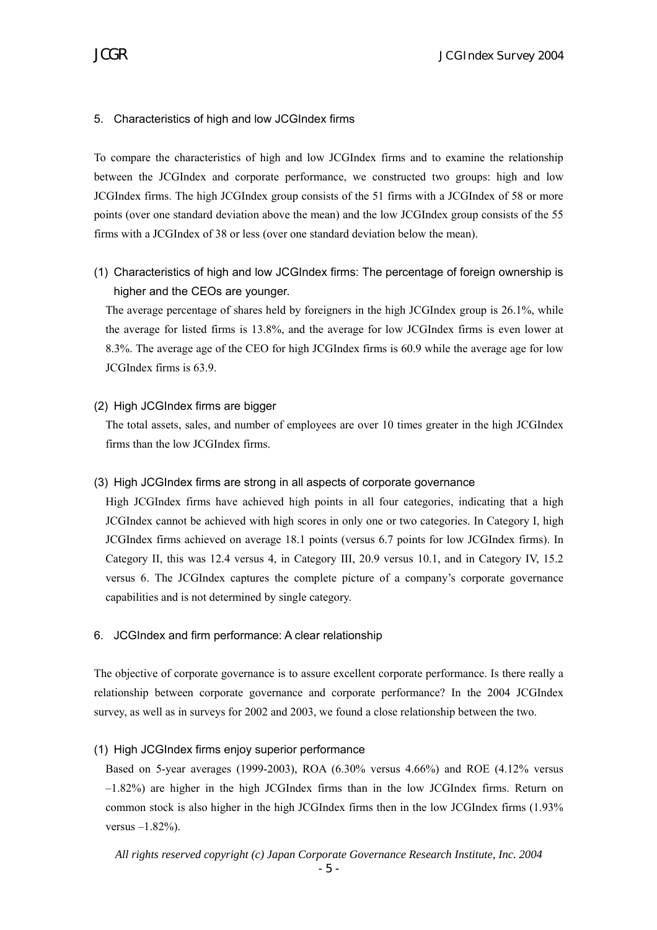## 5. Characteristics of high and low JCGIndex firms

To compare the characteristics of high and low JCGIndex firms and to examine the relationship between the JCGIndex and corporate performance, we constructed two groups: high and low JCGIndex firms. The high JCGIndex group consists of the 51 firms with a JCGIndex of 58 or more points (over one standard deviation above the mean) and the low JCGIndex group consists of the 55 firms with a JCGIndex of 38 or less (over one standard deviation below the mean).

(1) Characteristics of high and low JCGIndex firms: The percentage of foreign ownership is higher and the CEOs are younger.

The average percentage of shares held by foreigners in the high JCGIndex group is 26.1%, while the average for listed firms is 13.8%, and the average for low JCGIndex firms is even lower at 8.3%. The average age of the CEO for high JCGIndex firms is 60.9 while the average age for low JCGIndex firms is 63.9.

## (2) High JCGIndex firms are bigger

The total assets, sales, and number of employees are over 10 times greater in the high JCGIndex firms than the low JCGIndex firms.

## (3) High JCGIndex firms are strong in all aspects of corporate governance

High JCGIndex firms have achieved high points in all four categories, indicating that a high JCGIndex cannot be achieved with high scores in only one or two categories. In Category I, high JCGIndex firms achieved on average 18.1 points (versus 6.7 points for low JCGIndex firms). In Category II, this was 12.4 versus 4, in Category III, 20.9 versus 10.1, and in Category IV, 15.2 versus 6. The JCGIndex captures the complete picture of a company's corporate governance capabilities and is not determined by single category.

## 6. JCGIndex and firm performance: A clear relationship

The objective of corporate governance is to assure excellent corporate performance. Is there really a relationship between corporate governance and corporate performance? In the 2004 JCGIndex survey, as well as in surveys for 2002 and 2003, we found a close relationship between the two.

## (1) High JCGIndex firms enjoy superior performance

Based on 5-year averages (1999-2003), ROA (6.30% versus 4.66%) and ROE (4.12% versus –1.82%) are higher in the high JCGIndex firms than in the low JCGIndex firms. Return on common stock is also higher in the high JCGIndex firms then in the low JCGIndex firms (1.93% versus  $-1.82%$ ).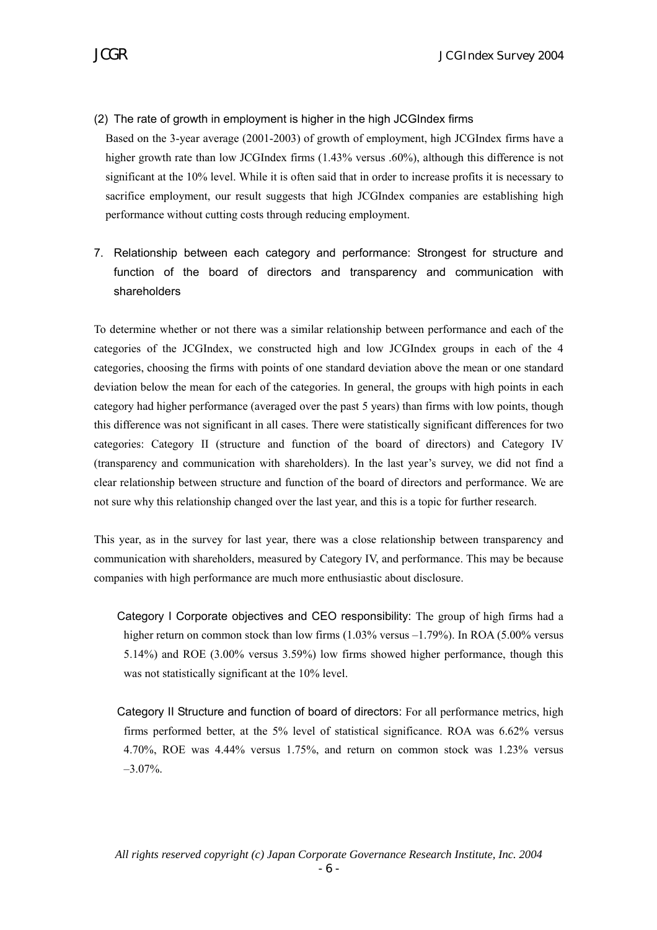# (2) The rate of growth in employment is higher in the high JCGIndex firms

Based on the 3-year average (2001-2003) of growth of employment, high JCGIndex firms have a higher growth rate than low JCGIndex firms (1.43% versus .60%), although this difference is not significant at the 10% level. While it is often said that in order to increase profits it is necessary to sacrifice employment, our result suggests that high JCGIndex companies are establishing high performance without cutting costs through reducing employment.

7. Relationship between each category and performance: Strongest for structure and function of the board of directors and transparency and communication with shareholders

To determine whether or not there was a similar relationship between performance and each of the categories of the JCGIndex, we constructed high and low JCGIndex groups in each of the 4 categories, choosing the firms with points of one standard deviation above the mean or one standard deviation below the mean for each of the categories. In general, the groups with high points in each category had higher performance (averaged over the past 5 years) than firms with low points, though this difference was not significant in all cases. There were statistically significant differences for two categories: Category II (structure and function of the board of directors) and Category IV (transparency and communication with shareholders). In the last year's survey, we did not find a clear relationship between structure and function of the board of directors and performance. We are not sure why this relationship changed over the last year, and this is a topic for further research.

This year, as in the survey for last year, there was a close relationship between transparency and communication with shareholders, measured by Category IV, and performance. This may be because companies with high performance are much more enthusiastic about disclosure.

- Category I Corporate objectives and CEO responsibility: The group of high firms had a higher return on common stock than low firms (1.03% versus –1.79%). In ROA (5.00% versus 5.14%) and ROE (3.00% versus 3.59%) low firms showed higher performance, though this was not statistically significant at the 10% level.
- Category II Structure and function of board of directors: For all performance metrics, high firms performed better, at the 5% level of statistical significance. ROA was 6.62% versus 4.70%, ROE was 4.44% versus 1.75%, and return on common stock was 1.23% versus –3.07%.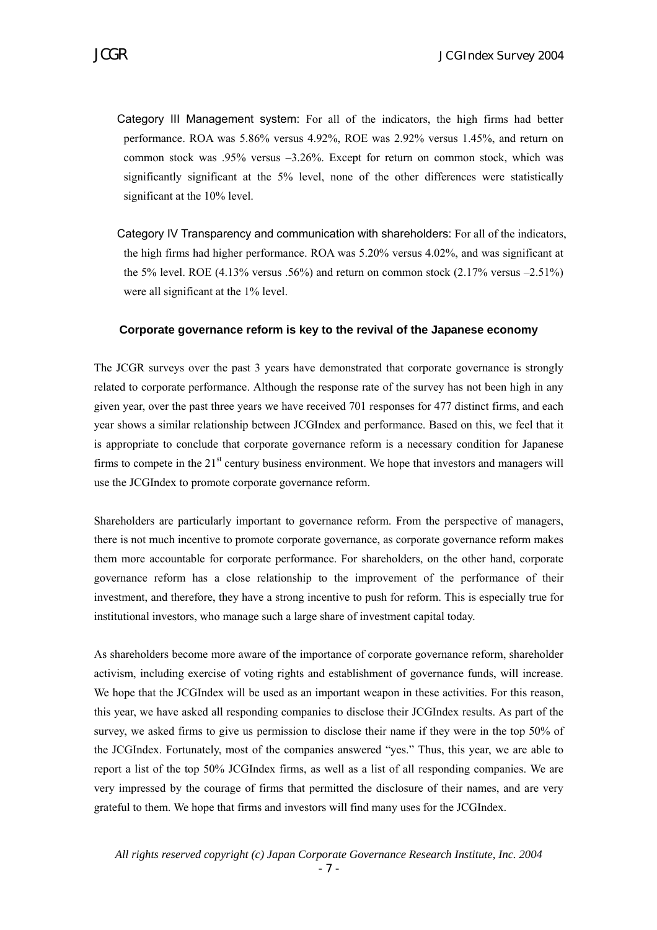- Category III Management system: For all of the indicators, the high firms had better performance. ROA was 5.86% versus 4.92%, ROE was 2.92% versus 1.45%, and return on common stock was .95% versus –3.26%. Except for return on common stock, which was significantly significant at the 5% level, none of the other differences were statistically significant at the 10% level.
- Category IV Transparency and communication with shareholders: For all of the indicators, the high firms had higher performance. ROA was 5.20% versus 4.02%, and was significant at the 5% level. ROE  $(4.13\%$  versus .56%) and return on common stock  $(2.17\%$  versus  $-2.51\%)$ were all significant at the 1% level.

#### **Corporate governance reform is key to the revival of the Japanese economy**

The JCGR surveys over the past 3 years have demonstrated that corporate governance is strongly related to corporate performance. Although the response rate of the survey has not been high in any given year, over the past three years we have received 701 responses for 477 distinct firms, and each year shows a similar relationship between JCGIndex and performance. Based on this, we feel that it is appropriate to conclude that corporate governance reform is a necessary condition for Japanese firms to compete in the  $21<sup>st</sup>$  century business environment. We hope that investors and managers will use the JCGIndex to promote corporate governance reform.

Shareholders are particularly important to governance reform. From the perspective of managers, there is not much incentive to promote corporate governance, as corporate governance reform makes them more accountable for corporate performance. For shareholders, on the other hand, corporate governance reform has a close relationship to the improvement of the performance of their investment, and therefore, they have a strong incentive to push for reform. This is especially true for institutional investors, who manage such a large share of investment capital today.

As shareholders become more aware of the importance of corporate governance reform, shareholder activism, including exercise of voting rights and establishment of governance funds, will increase. We hope that the JCGIndex will be used as an important weapon in these activities. For this reason, this year, we have asked all responding companies to disclose their JCGIndex results. As part of the survey, we asked firms to give us permission to disclose their name if they were in the top 50% of the JCGIndex. Fortunately, most of the companies answered "yes." Thus, this year, we are able to report a list of the top 50% JCGIndex firms, as well as a list of all responding companies. We are very impressed by the courage of firms that permitted the disclosure of their names, and are very grateful to them. We hope that firms and investors will find many uses for the JCGIndex.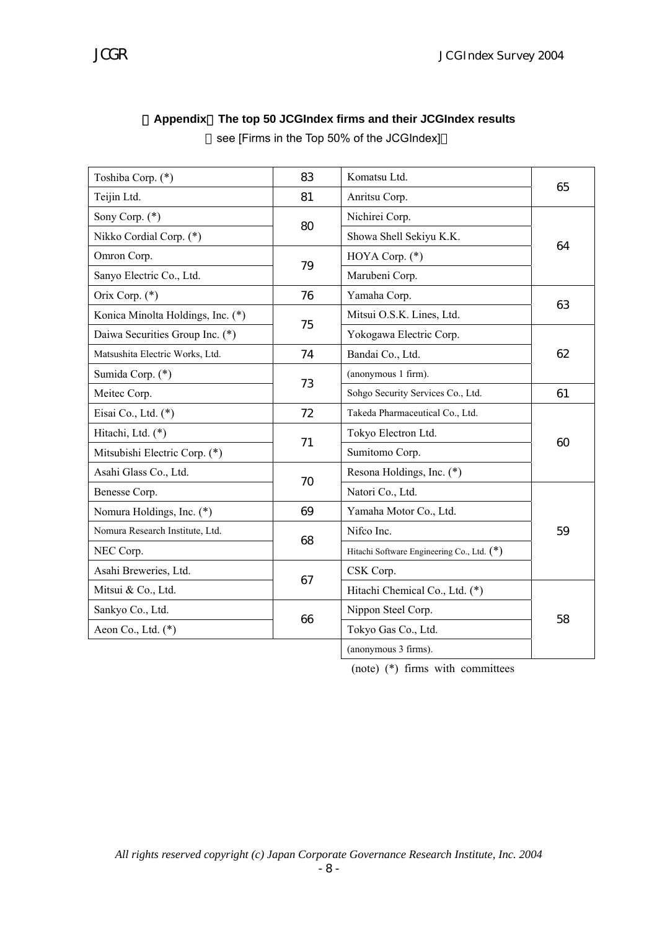| Toshiba Corp. (*)                 | 83 | Komatsu Ltd.                               | 65 |
|-----------------------------------|----|--------------------------------------------|----|
| Teijin Ltd.                       | 81 | Anritsu Corp.                              |    |
| Sony Corp. (*)                    | 80 | Nichirei Corp.                             |    |
| Nikko Cordial Corp. (*)           |    | Showa Shell Sekiyu K.K.                    | 64 |
| Omron Corp.                       | 79 | HOYA Corp. $(*)$                           |    |
| Sanyo Electric Co., Ltd.          |    | Marubeni Corp.                             |    |
| Orix Corp. (*)                    | 76 | Yamaha Corp.                               | 63 |
| Konica Minolta Holdings, Inc. (*) | 75 | Mitsui O.S.K. Lines, Ltd.                  |    |
| Daiwa Securities Group Inc. (*)   |    | Yokogawa Electric Corp.                    |    |
| Matsushita Electric Works, Ltd.   | 74 | Bandai Co., Ltd.                           | 62 |
| Sumida Corp. (*)                  | 73 | (anonymous 1 firm).                        |    |
| Meitec Corp.                      |    | Sohgo Security Services Co., Ltd.          | 61 |
| Eisai Co., Ltd. (*)               | 72 | Takeda Pharmaceutical Co., Ltd.            |    |
| Hitachi, Ltd. (*)                 | 71 | Tokyo Electron Ltd.                        | 60 |
| Mitsubishi Electric Corp. (*)     |    | Sumitomo Corp.                             |    |
| Asahi Glass Co., Ltd.             | 70 | Resona Holdings, Inc. (*)                  |    |
| Benesse Corp.                     |    | Natori Co., Ltd.                           |    |
| Nomura Holdings, Inc. (*)         | 69 | Yamaha Motor Co., Ltd.                     |    |
| Nomura Research Institute, Ltd.   | 68 | Nifco Inc.                                 | 59 |
| NEC Corp.                         |    | Hitachi Software Engineering Co., Ltd. (*) |    |
| Asahi Breweries, Ltd.             | 67 | CSK Corp.                                  |    |
| Mitsui & Co., Ltd.                |    | Hitachi Chemical Co., Ltd. (*)             |    |
| Sankyo Co., Ltd.                  | 66 | Nippon Steel Corp.                         | 58 |
| Aeon Co., Ltd. (*)                |    | Tokyo Gas Co., Ltd.                        |    |
|                                   |    | (anonymous 3 firms).                       |    |

# 【**Appendix**】**The top 50 JCGIndex firms and their JCGIndex results**

see [Firms in the Top 50% of the JCGIndex]

(note) (\*) firms with committees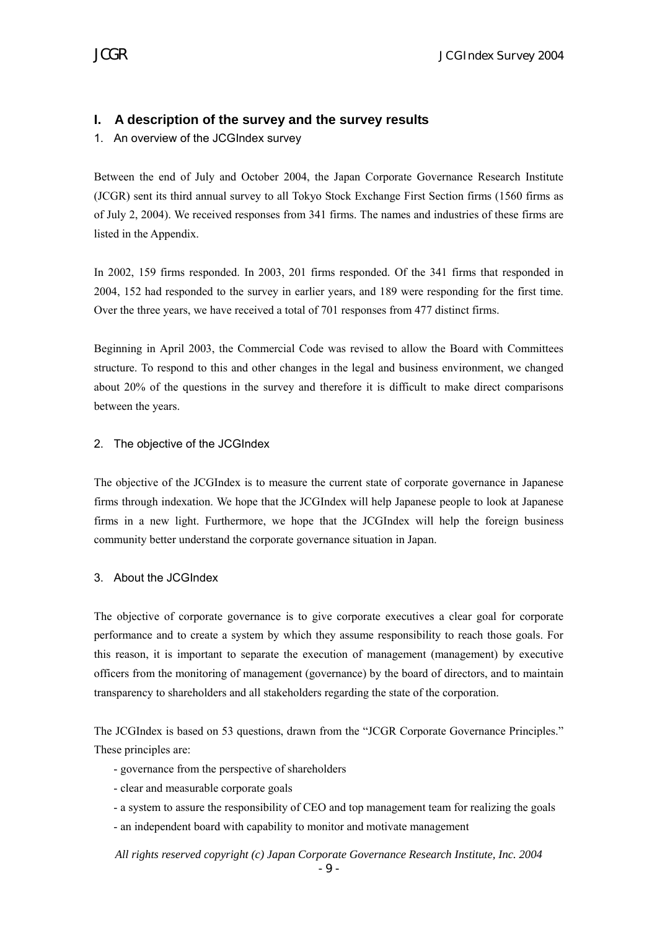# **I. A description of the survey and the survey results**

1. An overview of the JCGIndex survey

Between the end of July and October 2004, the Japan Corporate Governance Research Institute (JCGR) sent its third annual survey to all Tokyo Stock Exchange First Section firms (1560 firms as of July 2, 2004). We received responses from 341 firms. The names and industries of these firms are listed in the Appendix.

In 2002, 159 firms responded. In 2003, 201 firms responded. Of the 341 firms that responded in 2004, 152 had responded to the survey in earlier years, and 189 were responding for the first time. Over the three years, we have received a total of 701 responses from 477 distinct firms.

Beginning in April 2003, the Commercial Code was revised to allow the Board with Committees structure. To respond to this and other changes in the legal and business environment, we changed about 20% of the questions in the survey and therefore it is difficult to make direct comparisons between the years.

# 2. The objective of the JCGIndex

The objective of the JCGIndex is to measure the current state of corporate governance in Japanese firms through indexation. We hope that the JCGIndex will help Japanese people to look at Japanese firms in a new light. Furthermore, we hope that the JCGIndex will help the foreign business community better understand the corporate governance situation in Japan.

## 3. About the JCGIndex

The objective of corporate governance is to give corporate executives a clear goal for corporate performance and to create a system by which they assume responsibility to reach those goals. For this reason, it is important to separate the execution of management (management) by executive officers from the monitoring of management (governance) by the board of directors, and to maintain transparency to shareholders and all stakeholders regarding the state of the corporation.

The JCGIndex is based on 53 questions, drawn from the "JCGR Corporate Governance Principles." These principles are:

- governance from the perspective of shareholders
- clear and measurable corporate goals
- a system to assure the responsibility of CEO and top management team for realizing the goals
- an independent board with capability to monitor and motivate management

*All rights reserved copyright (c) Japan Corporate Governance Research Institute, Inc. 2004*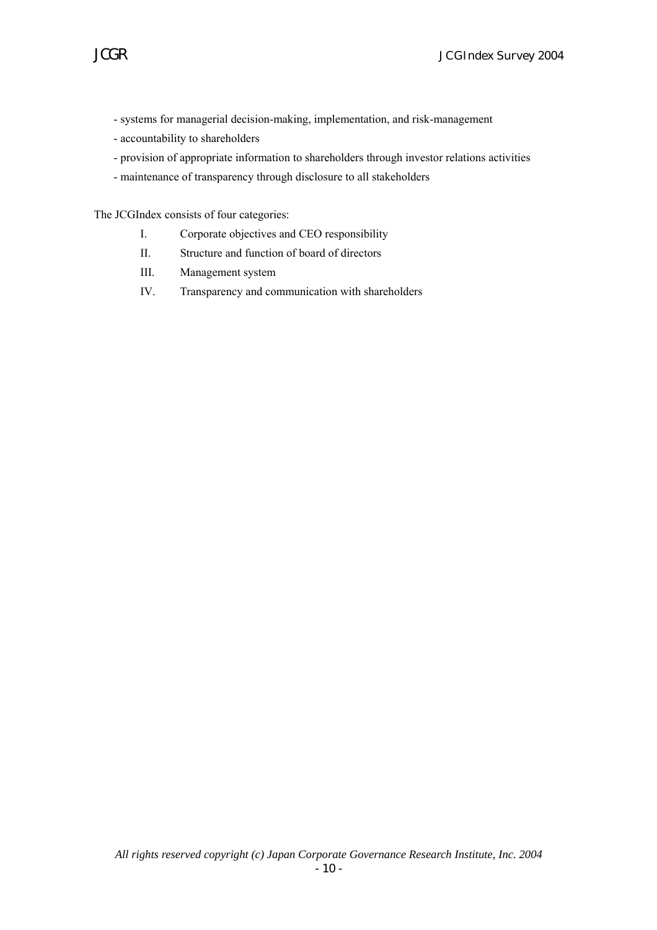- systems for managerial decision-making, implementation, and risk-management
- accountability to shareholders
- provision of appropriate information to shareholders through investor relations activities
- maintenance of transparency through disclosure to all stakeholders

The JCGIndex consists of four categories:

- I. Corporate objectives and CEO responsibility
- II. Structure and function of board of directors
- III. Management system
- IV. Transparency and communication with shareholders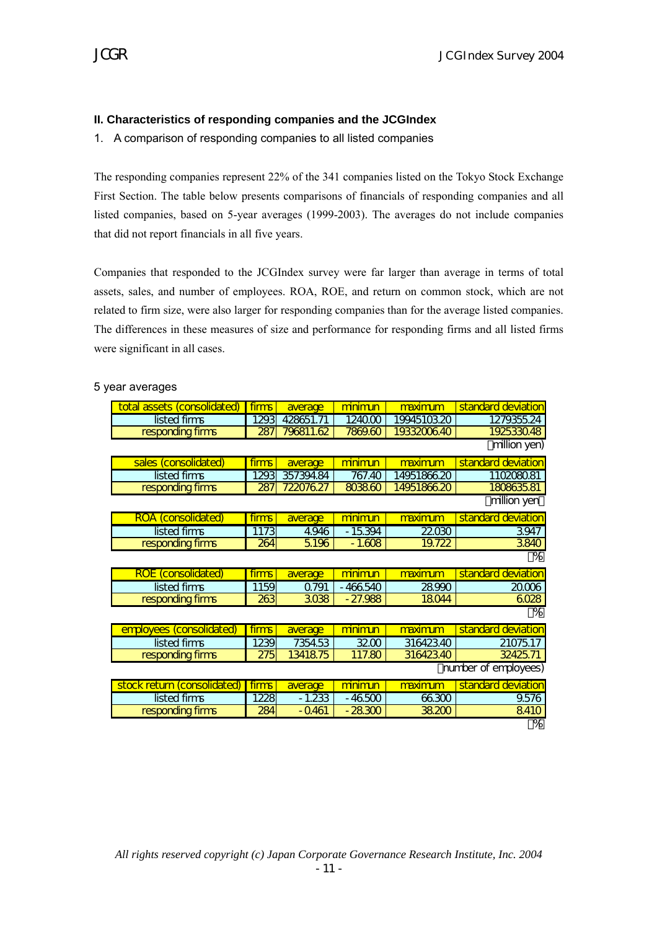# **II. Characteristics of responding companies and the JCGIndex**

1. A comparison of responding companies to all listed companies

The responding companies represent 22% of the 341 companies listed on the Tokyo Stock Exchange First Section. The table below presents comparisons of financials of responding companies and all listed companies, based on 5-year averages (1999-2003). The averages do not include companies that did not report financials in all five years.

Companies that responded to the JCGIndex survey were far larger than average in terms of total assets, sales, and number of employees. ROA, ROE, and return on common stock, which are not related to firm size, were also larger for responding companies than for the average listed companies. The differences in these measures of size and performance for responding firms and all listed firms were significant in all cases.

| total assets (consolidated) | firms | average   | minimun        | maximum     | standard deviation |
|-----------------------------|-------|-----------|----------------|-------------|--------------------|
| listed firms                | 1293  | 428651.71 | 124000         | 19945103.20 | 1279355.24         |
| responding firms            | 287   | 796811.62 | 7869.60        | 1933200640  | 192533048          |
|                             |       |           |                |             | million yen)       |
| sales (consolidated)        | firms | average   | minimun        | maximum     | standard deviation |
| listed firms                | 1293  | 357394.84 | 767.40         | 14951866.20 | 110208081          |
| responding firms            | 287   | 722076.27 | 803860         | 1495186620  | 1808635.81         |
|                             |       |           |                |             | million yen        |
| <b>ROA</b> (consolidated)   | firms | average   | minimun        | maximum     | standard deviation |
| listed firms                | 1173  | 4.946     | $-15394$       | 22030       | 3947               |
| responding firms            | 264   | 5196      | $-1.608$       | 19.722      | 3840               |
|                             |       |           |                |             | $\overline{\%}$    |
| <b>ROE</b> (consolidated)   | firms | average   | <u>minimun</u> | maximum     | standard deviation |
| listed firms                | 1159  | Q791      | $-466540$      | 28990       | 20006              |
| responding firms            | 263   | 3038      | $-27.988$      | 18044       | 6028               |
|                             |       |           |                |             | $\overline{\%}$    |
| employees (consolidated)    | firms | average   | minimun        | maximum     | standard deviation |
| listed firms                | 1239  | 7354.53   | 3200           | 316423.40   | 2107517            |
| responding firms            | 275   | 1341875   | 117.80         | 316423.40   | 32425.71           |
| number of employees)        |       |           |                |             |                    |
| stock return (consolidated) | firms | average   | minimun        | maximum     | standard deviation |
| listed firms                | 1228  | $-1.233$  | - 46500        | 66300       | 9.576              |
|                             | 284   | $-0.461$  | $-28300$       | 38.200      | 8410               |
| responding firms            |       |           |                |             |                    |

#### 5 year averages

*All rights reserved copyright (c) Japan Corporate Governance Research Institute, Inc. 2004*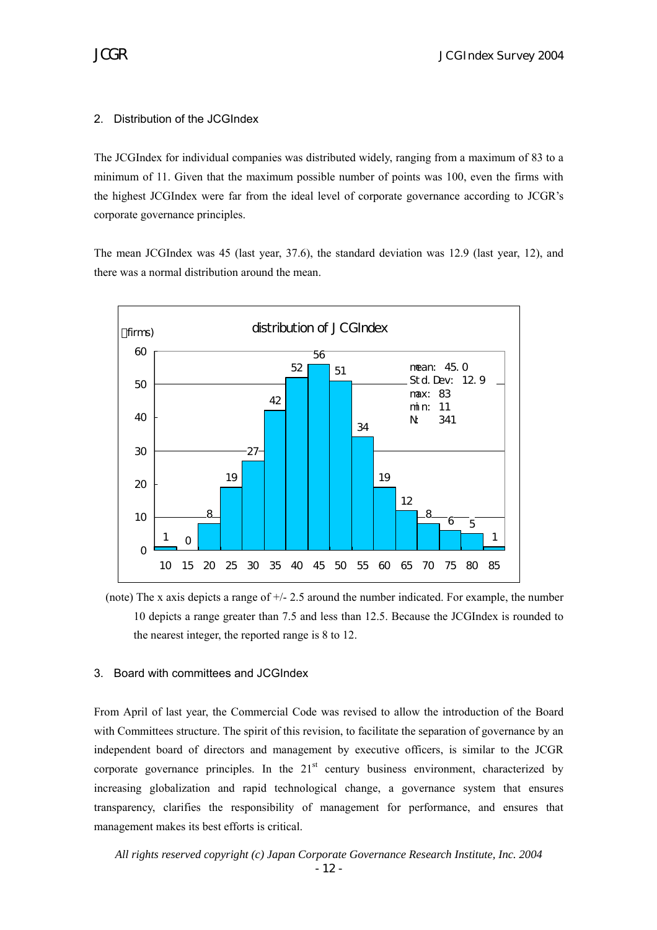## 2. Distribution of the JCGIndex

The JCGIndex for individual companies was distributed widely, ranging from a maximum of 83 to a minimum of 11. Given that the maximum possible number of points was 100, even the firms with the highest JCGIndex were far from the ideal level of corporate governance according to JCGR's corporate governance principles.

The mean JCGIndex was 45 (last year, 37.6), the standard deviation was 12.9 (last year, 12), and there was a normal distribution around the mean.



(note) The x axis depicts a range of  $+/- 2.5$  around the number indicated. For example, the number 10 depicts a range greater than 7.5 and less than 12.5. Because the JCGIndex is rounded to the nearest integer, the reported range is 8 to 12.

## 3. Board with committees and JCGIndex

From April of last year, the Commercial Code was revised to allow the introduction of the Board with Committees structure. The spirit of this revision, to facilitate the separation of governance by an independent board of directors and management by executive officers, is similar to the JCGR corporate governance principles. In the  $21<sup>st</sup>$  century business environment, characterized by increasing globalization and rapid technological change, a governance system that ensures transparency, clarifies the responsibility of management for performance, and ensures that management makes its best efforts is critical.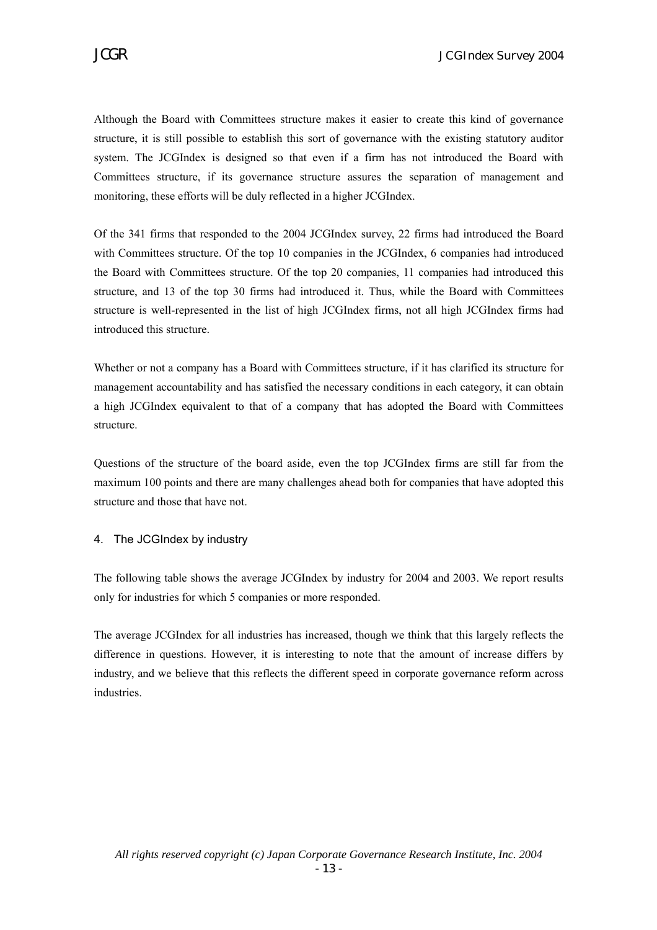Although the Board with Committees structure makes it easier to create this kind of governance structure, it is still possible to establish this sort of governance with the existing statutory auditor system. The JCGIndex is designed so that even if a firm has not introduced the Board with Committees structure, if its governance structure assures the separation of management and monitoring, these efforts will be duly reflected in a higher JCGIndex.

Of the 341 firms that responded to the 2004 JCGIndex survey, 22 firms had introduced the Board with Committees structure. Of the top 10 companies in the JCGIndex, 6 companies had introduced the Board with Committees structure. Of the top 20 companies, 11 companies had introduced this structure, and 13 of the top 30 firms had introduced it. Thus, while the Board with Committees structure is well-represented in the list of high JCGIndex firms, not all high JCGIndex firms had introduced this structure.

Whether or not a company has a Board with Committees structure, if it has clarified its structure for management accountability and has satisfied the necessary conditions in each category, it can obtain a high JCGIndex equivalent to that of a company that has adopted the Board with Committees structure.

Questions of the structure of the board aside, even the top JCGIndex firms are still far from the maximum 100 points and there are many challenges ahead both for companies that have adopted this structure and those that have not.

## 4. The JCGIndex by industry

The following table shows the average JCGIndex by industry for 2004 and 2003. We report results only for industries for which 5 companies or more responded.

The average JCGIndex for all industries has increased, though we think that this largely reflects the difference in questions. However, it is interesting to note that the amount of increase differs by industry, and we believe that this reflects the different speed in corporate governance reform across industries.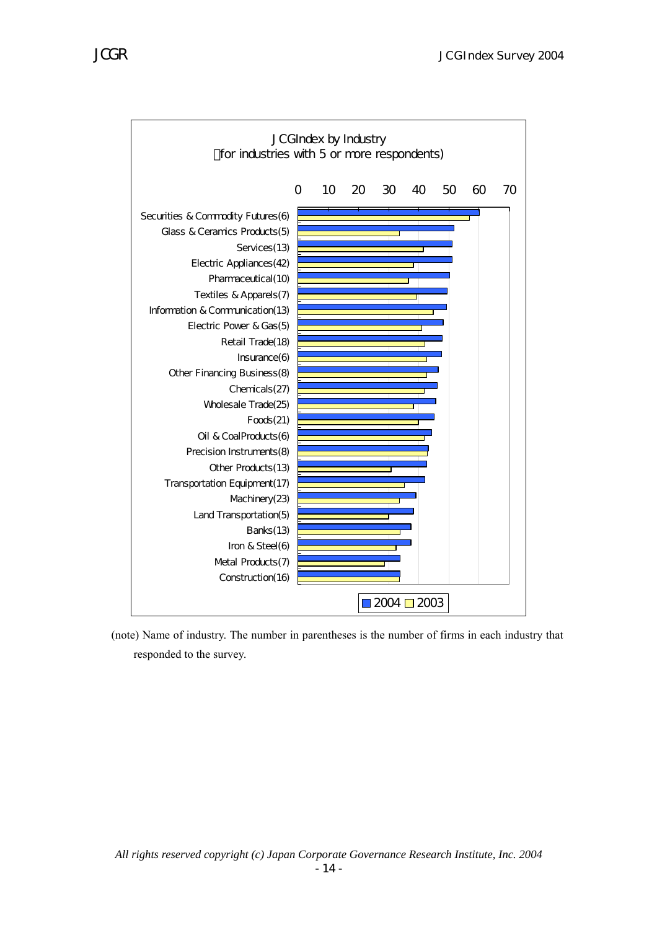

 (note) Name of industry. The number in parentheses is the number of firms in each industry that responded to the survey.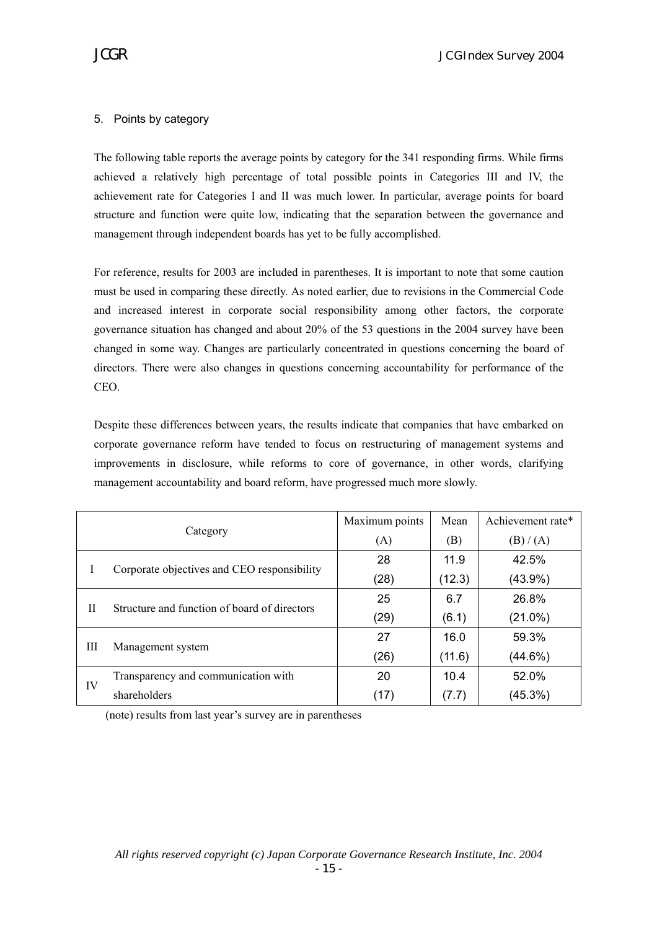# 5. Points by category

The following table reports the average points by category for the 341 responding firms. While firms achieved a relatively high percentage of total possible points in Categories III and IV, the achievement rate for Categories I and II was much lower. In particular, average points for board structure and function were quite low, indicating that the separation between the governance and management through independent boards has yet to be fully accomplished.

For reference, results for 2003 are included in parentheses. It is important to note that some caution must be used in comparing these directly. As noted earlier, due to revisions in the Commercial Code and increased interest in corporate social responsibility among other factors, the corporate governance situation has changed and about 20% of the 53 questions in the 2004 survey have been changed in some way. Changes are particularly concentrated in questions concerning the board of directors. There were also changes in questions concerning accountability for performance of the CEO.

Despite these differences between years, the results indicate that companies that have embarked on corporate governance reform have tended to focus on restructuring of management systems and improvements in disclosure, while reforms to core of governance, in other words, clarifying management accountability and board reform, have progressed much more slowly.

| Category |                                              | Maximum points | Mean   | Achievement rate* |
|----------|----------------------------------------------|----------------|--------|-------------------|
|          |                                              | (A)            | (B)    | (B) / (A)         |
|          | Corporate objectives and CEO responsibility  | 28             | 11.9   | 42.5%             |
|          |                                              | (28)           | (12.3) | $(43.9\%)$        |
| Н        | Structure and function of board of directors | 25             | 6.7    | 26.8%             |
|          |                                              | (29)           | (6.1)  | $(21.0\%)$        |
| Ш        |                                              | 27             | 16.0   | 59.3%             |
|          | Management system                            | (26)           | (11.6) | $(44.6\%)$        |
|          | Transparency and communication with          | 20             | 10.4   | 52.0%             |
| IV       | shareholders                                 | (17)           | (7.7)  | (45.3%)           |

(note) results from last year's survey are in parentheses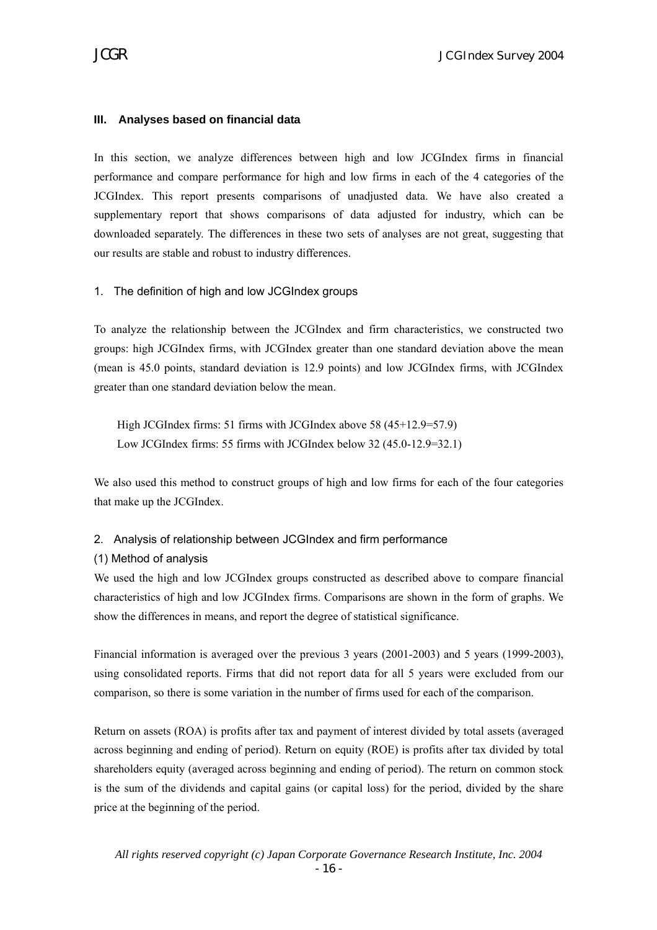## **III. Analyses based on financial data**

In this section, we analyze differences between high and low JCGIndex firms in financial performance and compare performance for high and low firms in each of the 4 categories of the JCGIndex. This report presents comparisons of unadjusted data. We have also created a supplementary report that shows comparisons of data adjusted for industry, which can be downloaded separately. The differences in these two sets of analyses are not great, suggesting that our results are stable and robust to industry differences.

#### 1. The definition of high and low JCGIndex groups

To analyze the relationship between the JCGIndex and firm characteristics, we constructed two groups: high JCGIndex firms, with JCGIndex greater than one standard deviation above the mean (mean is 45.0 points, standard deviation is 12.9 points) and low JCGIndex firms, with JCGIndex greater than one standard deviation below the mean.

High JCGIndex firms: 51 firms with JCGIndex above 58 (45+12.9=57.9) Low JCGIndex firms: 55 firms with JCGIndex below 32 (45.0-12.9=32.1)

We also used this method to construct groups of high and low firms for each of the four categories that make up the JCGIndex.

#### 2. Analysis of relationship between JCGIndex and firm performance

#### (1) Method of analysis

We used the high and low JCGIndex groups constructed as described above to compare financial characteristics of high and low JCGIndex firms. Comparisons are shown in the form of graphs. We show the differences in means, and report the degree of statistical significance.

Financial information is averaged over the previous 3 years (2001-2003) and 5 years (1999-2003), using consolidated reports. Firms that did not report data for all 5 years were excluded from our comparison, so there is some variation in the number of firms used for each of the comparison.

Return on assets (ROA) is profits after tax and payment of interest divided by total assets (averaged across beginning and ending of period). Return on equity (ROE) is profits after tax divided by total shareholders equity (averaged across beginning and ending of period). The return on common stock is the sum of the dividends and capital gains (or capital loss) for the period, divided by the share price at the beginning of the period.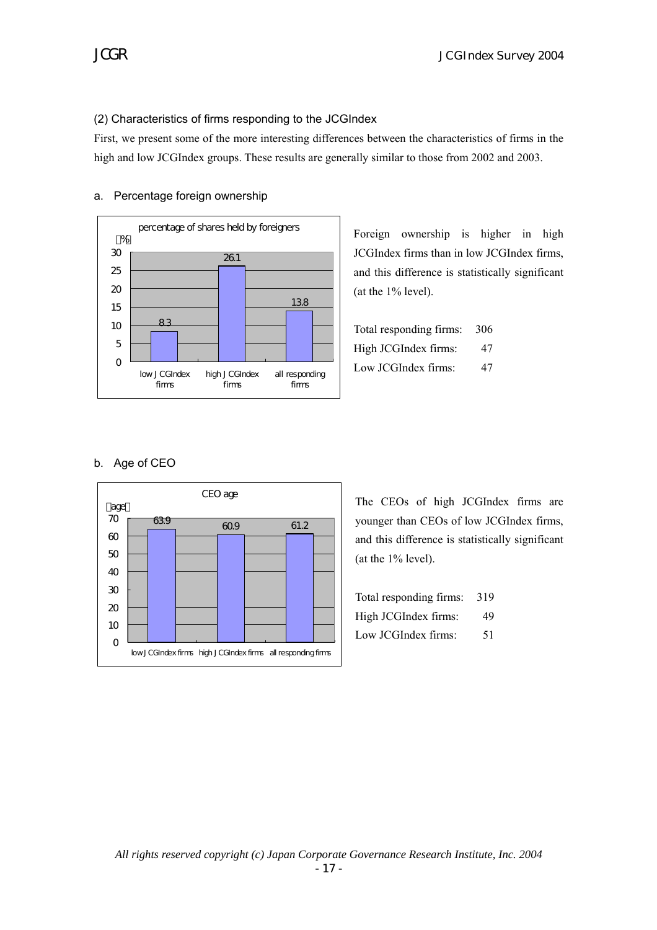# (2) Characteristics of firms responding to the JCGIndex

First, we present some of the more interesting differences between the characteristics of firms in the high and low JCGIndex groups. These results are generally similar to those from 2002 and 2003.



#### a. Percentage foreign ownership

Foreign ownership is higher in high JCGIndex firms than in low JCGIndex firms, and this difference is statistically significant (at the 1% level).

Total responding firms: 306 High JCGIndex firms: 47 Low JCGIndex firms: 47

# b. Age of CEO



The CEOs of high JCGIndex firms are younger than CEOs of low JCGIndex firms, and this difference is statistically significant (at the 1% level).

| Total responding firms: | 319 |
|-------------------------|-----|
| High JCGIndex firms:    | 49  |
| Low JCGIndex firms:     | 51  |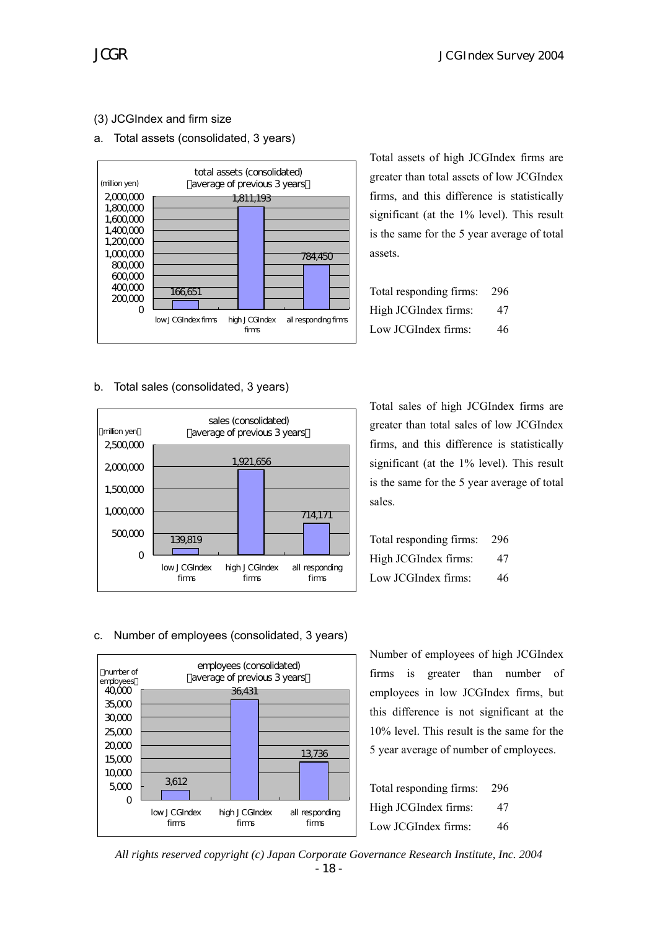# (3) JCGIndex and firm size

## a. Total assets (consolidated, 3 years)



b. Total sales (consolidated, 3 years)



Total assets of high JCGIndex firms are greater than total assets of low JCGIndex firms, and this difference is statistically significant (at the 1% level). This result is the same for the 5 year average of total assets.

| Total responding firms: | 296 |
|-------------------------|-----|
| High JCGIndex firms:    | 47  |
| Low JCGIndex firms:     | 46  |

Total sales of high JCGIndex firms are greater than total sales of low JCGIndex firms, and this difference is statistically significant (at the 1% level). This result is the same for the 5 year average of total sales.

| Total responding firms: | -296 |
|-------------------------|------|
| High JCGIndex firms:    | 47   |
| Low JCGIndex firms:     | 46   |

#### c. Number of employees (consolidated, 3 years)



Number of employees of high JCGIndex firms is greater than number of employees in low JCGIndex firms, but this difference is not significant at the 10% level. This result is the same for the 5 year average of number of employees.

| Total responding firms: | 296 |
|-------------------------|-----|
| High JCGIndex firms:    | 47  |
| Low JCGIndex firms:     | 46  |

*All rights reserved copyright (c) Japan Corporate Governance Research Institute, Inc. 2004*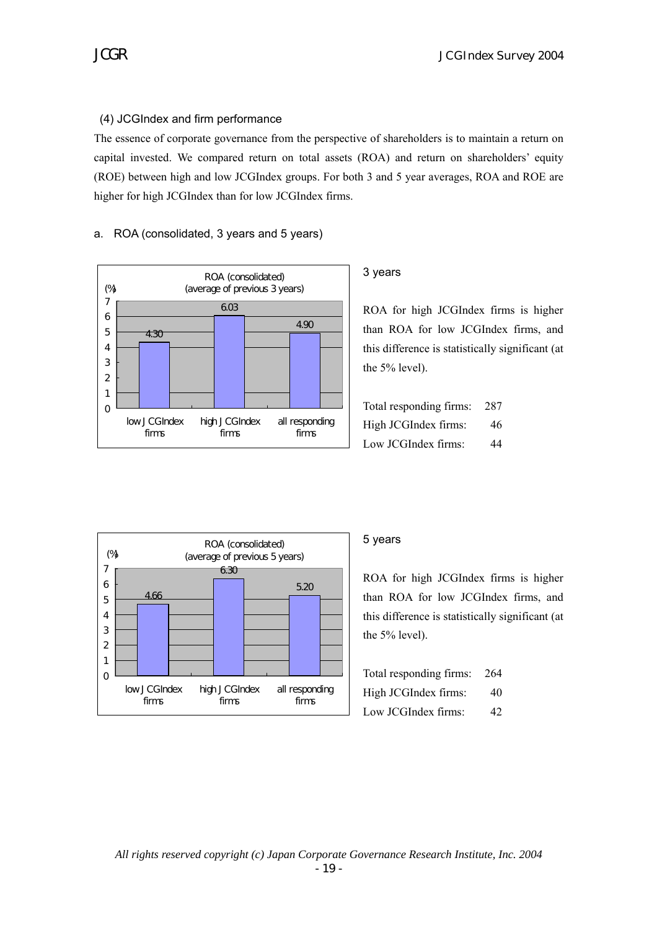# (4) JCGIndex and firm performance

The essence of corporate governance from the perspective of shareholders is to maintain a return on capital invested. We compared return on total assets (ROA) and return on shareholders' equity (ROE) between high and low JCGIndex groups. For both 3 and 5 year averages, ROA and ROE are higher for high JCGIndex than for low JCGIndex firms.

# a. ROA (consolidated, 3 years and 5 years)



# 3 years

ROA for high JCGIndex firms is higher than ROA for low JCGIndex firms, and this difference is statistically significant (at the 5% level).

| Total responding firms: 287 |    |
|-----------------------------|----|
| High JCGIndex firms:        | 46 |
| Low JCGIndex firms:         | 44 |



# 5 years

ROA for high JCGIndex firms is higher than ROA for low JCGIndex firms, and this difference is statistically significant (at the 5% level).

| Total responding firms: | - 264 |
|-------------------------|-------|
| High JCGIndex firms:    | 40    |
| Low JCGIndex firms:     | 42    |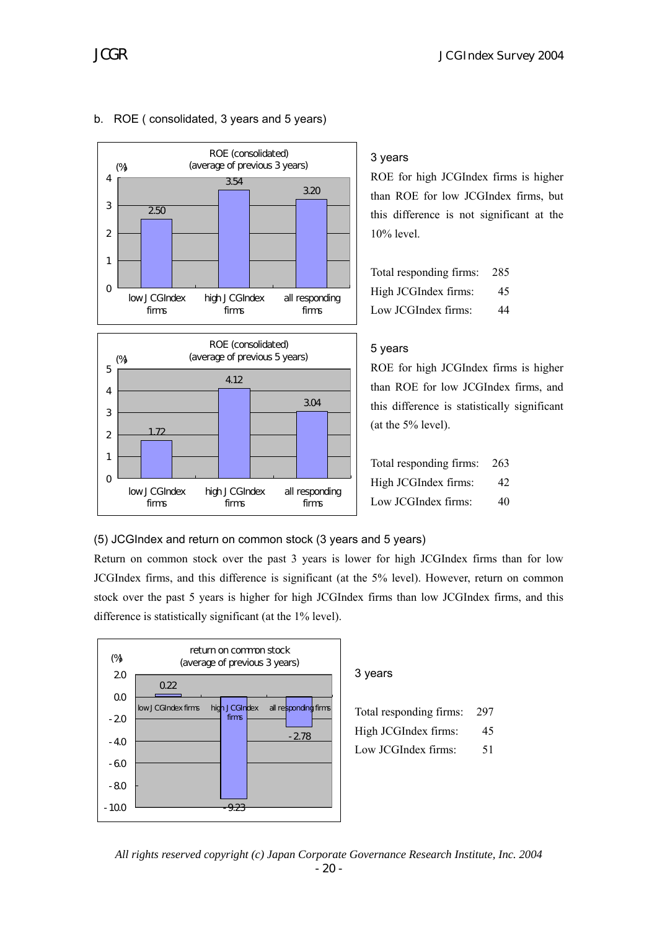



# b. ROE ( consolidated, 3 years and 5 years)

# 3 years

ROE for high JCGIndex firms is higher than ROE for low JCGIndex firms, but this difference is not significant at the 10% level.

| Total responding firms: | -285 |
|-------------------------|------|
| High JCGIndex firms:    | 45   |
| Low JCGIndex firms:     | 44   |

# 5 years

ROE for high JCGIndex firms is higher than ROE for low JCGIndex firms, and this difference is statistically significant (at the 5% level).

| Total responding firms: 263 |    |
|-----------------------------|----|
| High JCGIndex firms:        | 42 |
| Low JCGIndex firms:         | 40 |

(5) JCGIndex and return on common stock (3 years and 5 years)

Return on common stock over the past 3 years is lower for high JCGIndex firms than for low JCGIndex firms, and this difference is significant (at the 5% level). However, return on common stock over the past 5 years is higher for high JCGIndex firms than low JCGIndex firms, and this difference is statistically significant (at the 1% level).



# 3 years

| Total responding firms: | -297 |
|-------------------------|------|
| High JCGIndex firms:    | 45   |
| Low JCGIndex firms:     | 51   |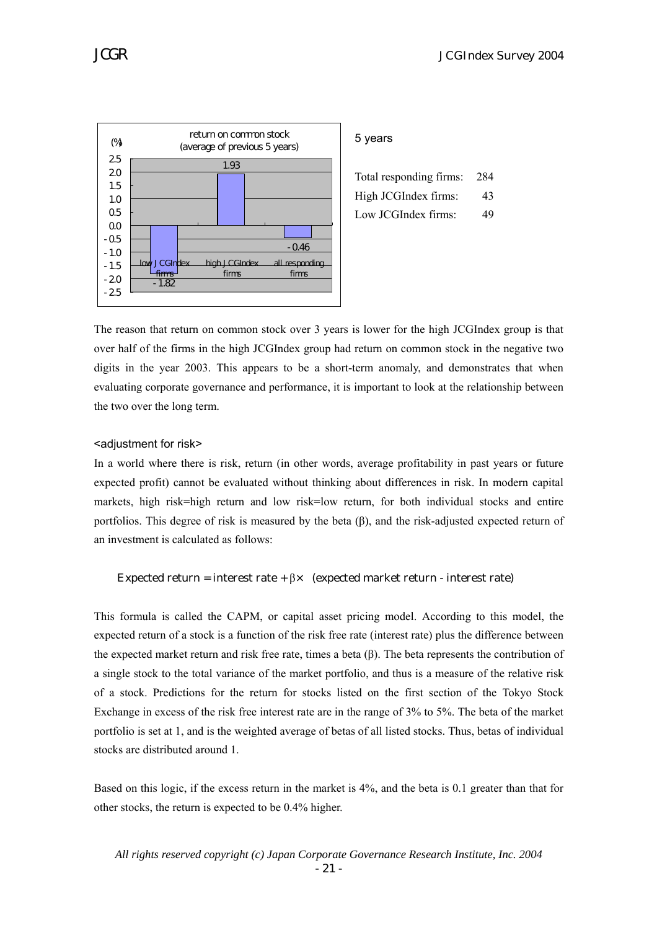

#### 5 years

| Total responding firms: | - 284 |
|-------------------------|-------|
| High JCGIndex firms:    | 43    |
| Low JCGIndex firms:     | 49    |

The reason that return on common stock over 3 years is lower for the high JCGIndex group is that over half of the firms in the high JCGIndex group had return on common stock in the negative two digits in the year 2003. This appears to be a short-term anomaly, and demonstrates that when evaluating corporate governance and performance, it is important to look at the relationship between the two over the long term.

#### <adjustment for risk>

In a world where there is risk, return (in other words, average profitability in past years or future expected profit) cannot be evaluated without thinking about differences in risk. In modern capital markets, high risk=high return and low risk=low return, for both individual stocks and entire portfolios. This degree of risk is measured by the beta (β), and the risk-adjusted expected return of an investment is calculated as follows:

#### Expected return = interest rate +  $\beta \times$  (expected market return - interest rate)

This formula is called the CAPM, or capital asset pricing model. According to this model, the expected return of a stock is a function of the risk free rate (interest rate) plus the difference between the expected market return and risk free rate, times a beta (β). The beta represents the contribution of a single stock to the total variance of the market portfolio, and thus is a measure of the relative risk of a stock. Predictions for the return for stocks listed on the first section of the Tokyo Stock Exchange in excess of the risk free interest rate are in the range of 3% to 5%. The beta of the market portfolio is set at 1, and is the weighted average of betas of all listed stocks. Thus, betas of individual stocks are distributed around 1.

Based on this logic, if the excess return in the market is 4%, and the beta is 0.1 greater than that for other stocks, the return is expected to be 0.4% higher.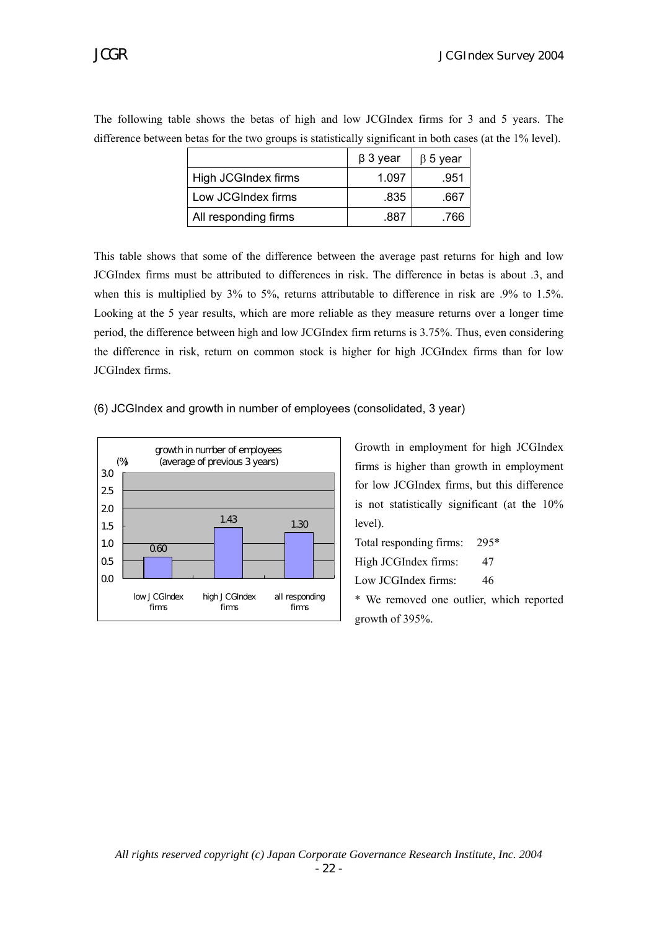|                      | $\beta$ 3 year | $\beta$ 5 year |
|----------------------|----------------|----------------|
| High JCGIndex firms  | 1.097          | .951           |
| Low JCGIndex firms   | .835           | .667           |
| All responding firms | .887           | .766           |

The following table shows the betas of high and low JCGIndex firms for 3 and 5 years. The difference between betas for the two groups is statistically significant in both cases (at the 1% level).

This table shows that some of the difference between the average past returns for high and low JCGIndex firms must be attributed to differences in risk. The difference in betas is about .3, and when this is multiplied by 3% to 5%, returns attributable to difference in risk are .9% to 1.5%. Looking at the 5 year results, which are more reliable as they measure returns over a longer time period, the difference between high and low JCGIndex firm returns is 3.75%. Thus, even considering the difference in risk, return on common stock is higher for high JCGIndex firms than for low JCGIndex firms.

(6) JCGIndex and growth in number of employees (consolidated, 3 year)



Growth in employment for high JCGIndex firms is higher than growth in employment for low JCGIndex firms, but this difference is not statistically significant (at the 10% level).

Total responding firms: 295\* High JCGIndex firms: 47 Low JCGIndex firms: 46 \* We removed one outlier, which reported growth of 395%.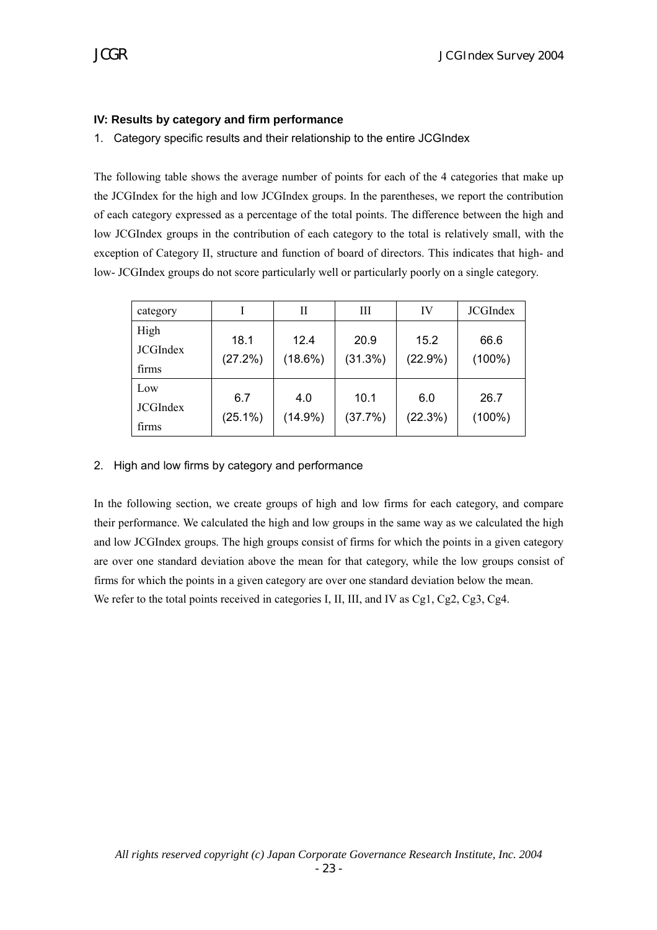# **IV: Results by category and firm performance**

1. Category specific results and their relationship to the entire JCGIndex

The following table shows the average number of points for each of the 4 categories that make up the JCGIndex for the high and low JCGIndex groups. In the parentheses, we report the contribution of each category expressed as a percentage of the total points. The difference between the high and low JCGIndex groups in the contribution of each category to the total is relatively small, with the exception of Category II, structure and function of board of directors. This indicates that high- and low- JCGIndex groups do not score particularly well or particularly poorly on a single category.

| category                         |                   | Н                 | Ш               | IV                 | <b>JCGIndex</b>   |
|----------------------------------|-------------------|-------------------|-----------------|--------------------|-------------------|
| High<br><b>JCGIndex</b><br>firms | 18.1<br>(27.2%)   | 12.4<br>(18.6%)   | 20.9<br>(31.3%) | 15.2<br>$(22.9\%)$ | 66.6<br>$(100\%)$ |
| Low<br><b>JCGIndex</b><br>firms  | 6.7<br>$(25.1\%)$ | 4.0<br>$(14.9\%)$ | 10.1<br>(37.7%) | 6.0<br>(22.3%)     | 26.7<br>$(100\%)$ |

# 2. High and low firms by category and performance

In the following section, we create groups of high and low firms for each category, and compare their performance. We calculated the high and low groups in the same way as we calculated the high and low JCGIndex groups. The high groups consist of firms for which the points in a given category are over one standard deviation above the mean for that category, while the low groups consist of firms for which the points in a given category are over one standard deviation below the mean. We refer to the total points received in categories I, II, III, and IV as Cg1, Cg2, Cg3, Cg4.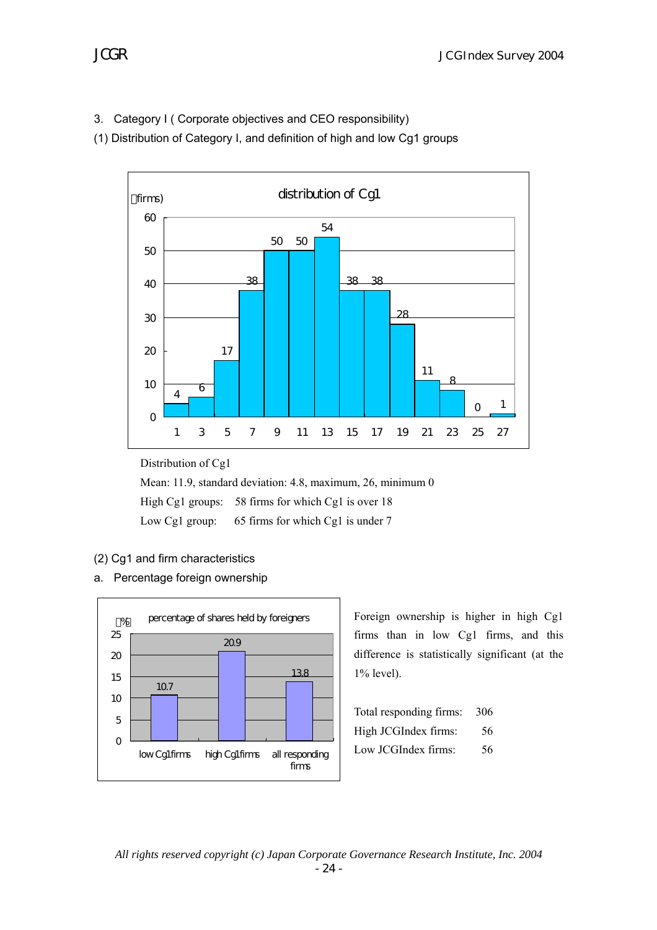3. Category I ( Corporate objectives and CEO responsibility)

(1) Distribution of Category I, and definition of high and low Cg1 groups



Distribution of Cg1

Mean: 11.9, standard deviation: 4.8, maximum, 26, minimum 0 High Cg1 groups: 58 firms for which Cg1 is over 18 Low Cg1 group: 65 firms for which Cg1 is under 7

- (2) Cg1 and firm characteristics
- a. Percentage foreign ownership



Foreign ownership is higher in high Cg1 firms than in low Cg1 firms, and this difference is statistically significant (at the 1% level).

| Total responding firms: 306 |    |
|-----------------------------|----|
| High JCGIndex firms:        | 56 |
| Low JCGIndex firms:         | 56 |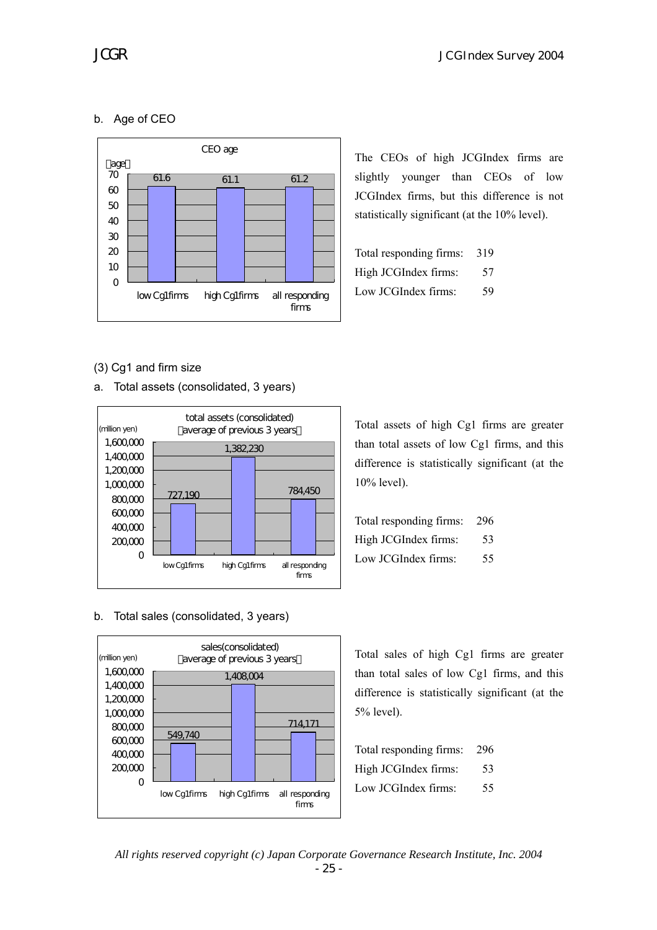# b. Age of CEO



The CEOs of high JCGIndex firms are slightly younger than CEOs of low JCGIndex firms, but this difference is not statistically significant (at the 10% level).

| Total responding firms: | 319 |
|-------------------------|-----|
| High JCGIndex firms:    | 57  |
| Low JCGIndex firms:     | 59  |

(3) Cg1 and firm size

a. Total assets (consolidated, 3 years)



b. Total sales (consolidated, 3 years)



Total assets of high Cg1 firms are greater than total assets of low Cg1 firms, and this difference is statistically significant (at the 10% level).

| Total responding firms: 296 |     |
|-----------------------------|-----|
| High JCGIndex firms:        | 53  |
| Low JCGIndex firms:         | 55. |

Total sales of high Cg1 firms are greater than total sales of low Cg1 firms, and this difference is statistically significant (at the 5% level).

| Total responding firms: 296 |    |
|-----------------------------|----|
| High JCGIndex firms:        | 53 |
| Low JCGIndex firms:         | 55 |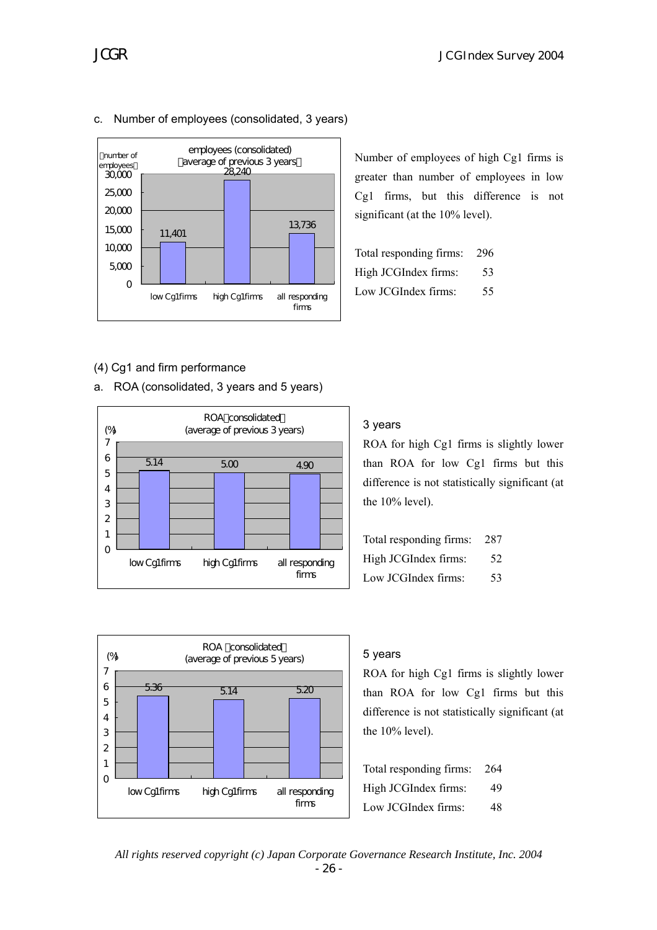Number of employees of high Cg1 firms is greater than number of employees in low Cg1 firms, but this difference is not

significant (at the 10% level).

Total responding firms: 296 High JCGIndex firms: 53 Low JCGIndex firms: 55





## c. Number of employees (consolidated, 3 years)

## (4) Cg1 and firm performance

a. ROA (consolidated, 3 years and 5 years)



#### 3 years

ROA for high Cg1 firms is slightly lower than ROA for low Cg1 firms but this difference is not statistically significant (at the 10% level).

| Total responding firms: 287 |    |
|-----------------------------|----|
| High JCGIndex firms:        | 52 |
| Low JCGIndex firms:         | 53 |



## 5 years

ROA for high Cg1 firms is slightly lower than ROA for low Cg1 firms but this difference is not statistically significant (at the 10% level).

| Total responding firms: | 264 |
|-------------------------|-----|
| High JCGIndex firms:    | 49  |
| Low JCGIndex firms:     | 48  |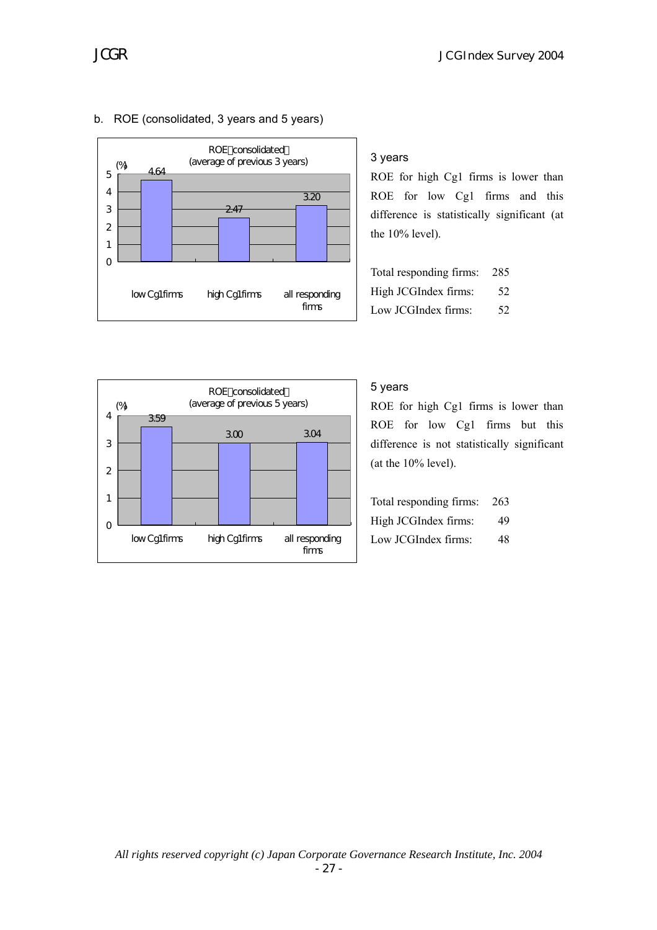



# b. ROE (consolidated, 3 years and 5 years)

## 3 years

ROE for high Cg1 firms is lower than ROE for low Cg1 firms and this difference is statistically significant (at the 10% level).

| Total responding firms: | -285 |
|-------------------------|------|
| High JCGIndex firms:    | 52   |
| Low JCGIndex firms:     | 52   |



# 5 years

ROE for high Cg1 firms is lower than ROE for low Cg1 firms but this difference is not statistically significant (at the 10% level).

| Total responding firms: 263 |    |
|-----------------------------|----|
| High JCGIndex firms:        | 49 |
| Low JCGIndex firms:         | 48 |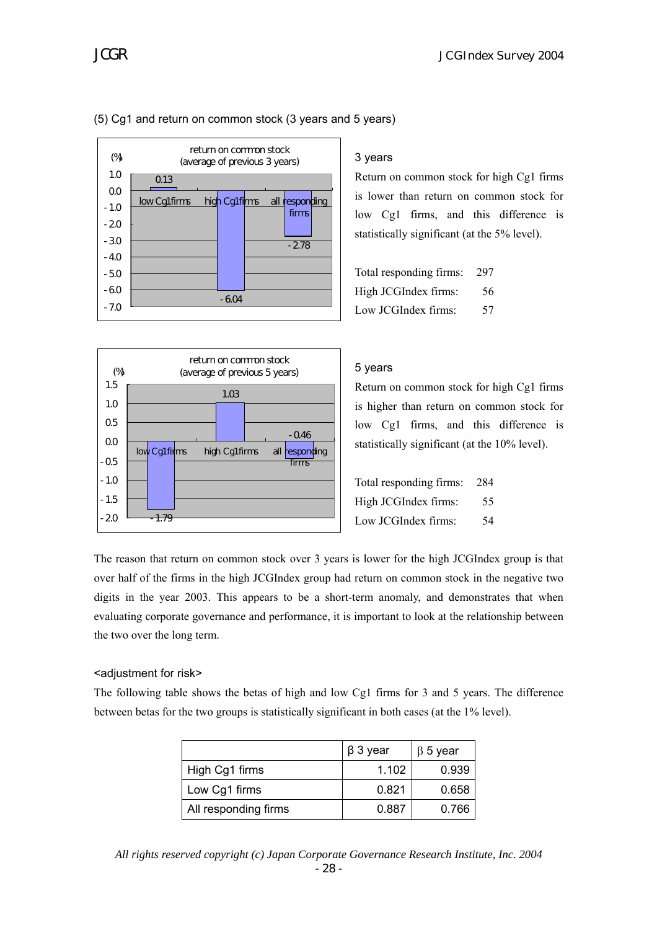

## (5) Cg1 and return on common stock (3 years and 5 years)

# 3 years

Return on common stock for high Cg1 firms is lower than return on common stock for low Cg1 firms, and this difference is statistically significant (at the 5% level).

Total responding firms: 297 High JCGIndex firms: 56 Low JCGIndex firms: 57



# 5 years

Return on common stock for high Cg1 firms is higher than return on common stock for low Cg1 firms, and this difference is statistically significant (at the 10% level).

| Total responding firms: 284 |     |
|-----------------------------|-----|
| High JCGIndex firms:        | 55. |
| Low JCGIndex firms:         | 54  |

The reason that return on common stock over 3 years is lower for the high JCGIndex group is that over half of the firms in the high JCGIndex group had return on common stock in the negative two digits in the year 2003. This appears to be a short-term anomaly, and demonstrates that when evaluating corporate governance and performance, it is important to look at the relationship between the two over the long term.

# <adjustment for risk>

The following table shows the betas of high and low Cg1 firms for 3 and 5 years. The difference between betas for the two groups is statistically significant in both cases (at the 1% level).

|                      | $\beta$ 3 year | $\beta$ 5 year |
|----------------------|----------------|----------------|
| High Cg1 firms       | 1.102          | 0.939          |
| Low Cg1 firms        | 0.821          | 0.658          |
| All responding firms | 0.887          | 0.766          |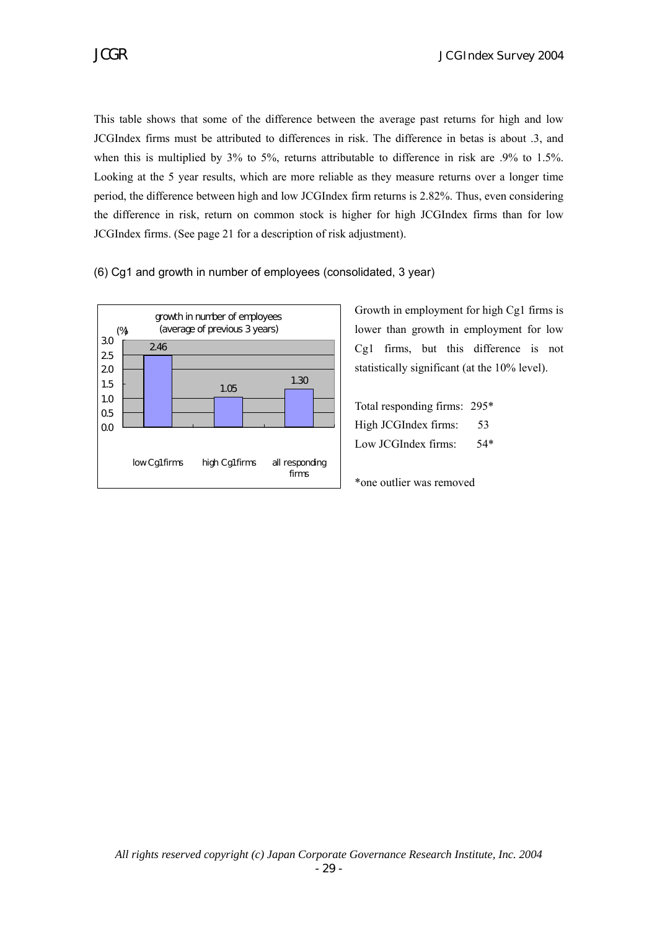This table shows that some of the difference between the average past returns for high and low JCGIndex firms must be attributed to differences in risk. The difference in betas is about .3, and when this is multiplied by 3% to 5%, returns attributable to difference in risk are .9% to 1.5%. Looking at the 5 year results, which are more reliable as they measure returns over a longer time period, the difference between high and low JCGIndex firm returns is 2.82%. Thus, even considering the difference in risk, return on common stock is higher for high JCGIndex firms than for low JCGIndex firms. (See page 21 for a description of risk adjustment).

(6) Cg1 and growth in number of employees (consolidated, 3 year)



Growth in employment for high Cg1 firms is lower than growth in employment for low Cg1 firms, but this difference is not statistically significant (at the 10% level).

Total responding firms: 295\* High JCGIndex firms: 53 Low ICGIndex firms: 54\*

\*one outlier was removed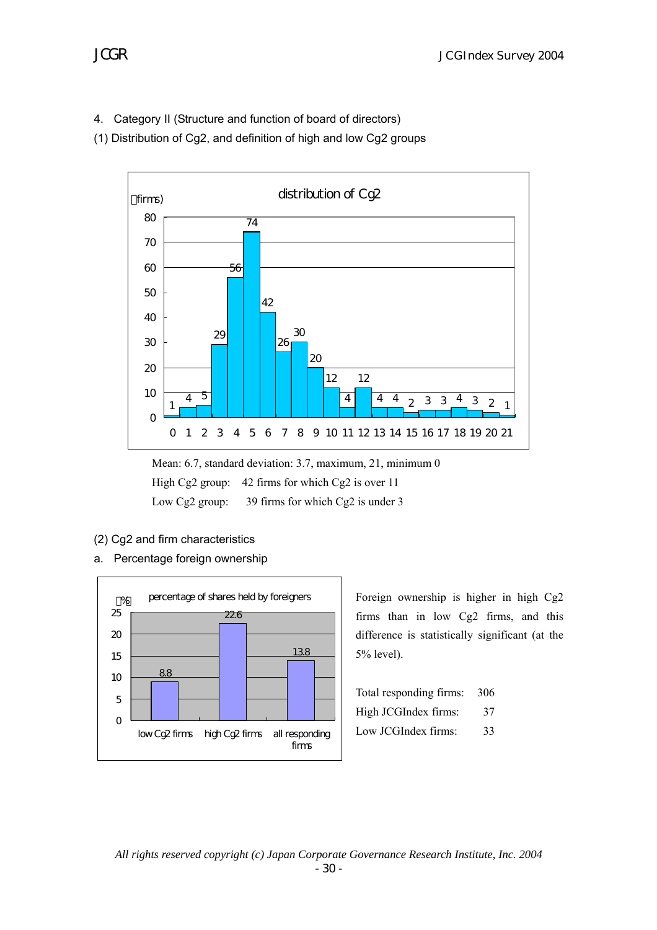4. Category II (Structure and function of board of directors)

(1) Distribution of Cg2, and definition of high and low Cg2 groups



Mean: 6.7, standard deviation: 3.7, maximum, 21, minimum 0 High Cg2 group: 42 firms for which Cg2 is over 11 Low Cg2 group: 39 firms for which Cg2 is under 3

- (2) Cg2 and firm characteristics
- a. Percentage foreign ownership



Foreign ownership is higher in high Cg2 firms than in low Cg2 firms, and this difference is statistically significant (at the 5% level).

| Total responding firms: 306 |    |
|-----------------------------|----|
| High JCGIndex firms:        | 37 |
| Low JCGIndex firms:         | 33 |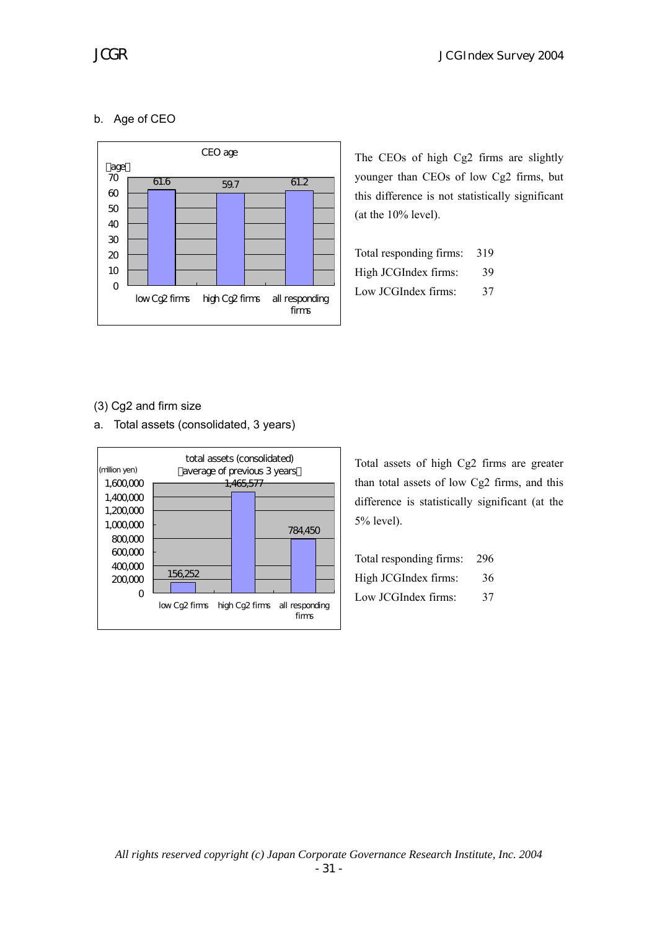# b. Age of CEO



The CEOs of high Cg2 firms are slightly younger than CEOs of low Cg2 firms, but this difference is not statistically significant (at the 10% level).

| Total responding firms: | 319 |
|-------------------------|-----|
| High JCGIndex firms:    | 39  |
| Low JCGIndex firms:     | 37  |

# (3) Cg2 and firm size

a. Total assets (consolidated, 3 years)



Total assets of high Cg2 firms are greater than total assets of low Cg2 firms, and this difference is statistically significant (at the 5% level).

| Total responding firms: | -296 |
|-------------------------|------|
| High JCGIndex firms:    | 36   |
| Low JCGIndex firms:     | 37   |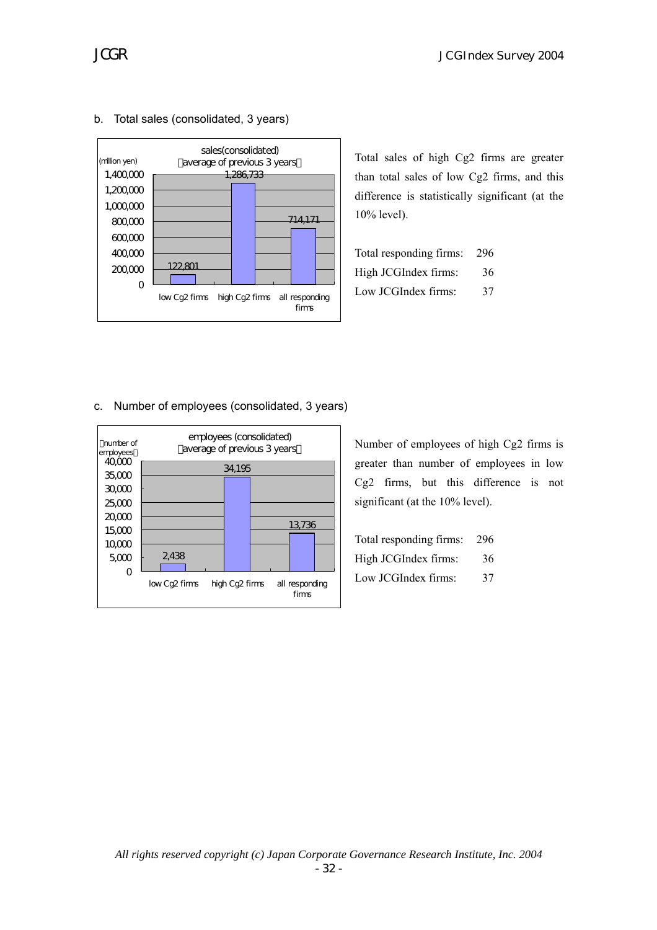

#### b. Total sales (consolidated, 3 years)

Total sales of high Cg2 firms are greater than total sales of low Cg2 firms, and this difference is statistically significant (at the 10% level).

| Total responding firms: | 296 |
|-------------------------|-----|
| High JCGIndex firms:    | 36  |
| Low JCGIndex firms:     | 37  |

#### c. Number of employees (consolidated, 3 years)



Number of employees of high Cg2 firms is greater than number of employees in low Cg2 firms, but this difference is not significant (at the 10% level).

| Total responding firms: 296 |    |
|-----------------------------|----|
| High JCGIndex firms:        | 36 |
| Low JCGIndex firms:         | 37 |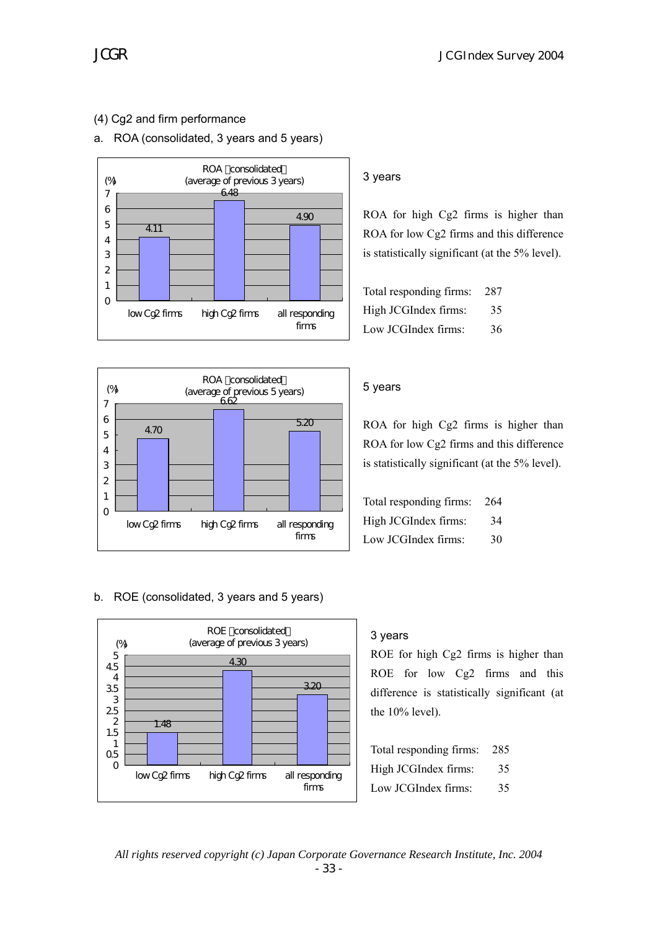# (4) Cg2 and firm performance

# a. ROA (consolidated, 3 years and 5 years)





## 3 years

ROA for high Cg2 firms is higher than ROA for low Cg2 firms and this difference is statistically significant (at the 5% level).

| Total responding firms: | - 287 |
|-------------------------|-------|
| High JCGIndex firms:    | 35    |
| Low JCGIndex firms:     | 36    |

#### 5 years

ROA for high Cg2 firms is higher than ROA for low Cg2 firms and this difference is statistically significant (at the 5% level).

| Total responding firms: | - 264 |
|-------------------------|-------|
| High JCGIndex firms:    | 34    |
| Low JCGIndex firms:     | 30    |

## b. ROE (consolidated, 3 years and 5 years)



# 3 years

ROE for high Cg2 firms is higher than ROE for low Cg2 firms and this difference is statistically significant (at the 10% level).

| Total responding firms: | -285 |
|-------------------------|------|
| High JCGIndex firms:    | 35   |
| Low JCGIndex firms:     | 35   |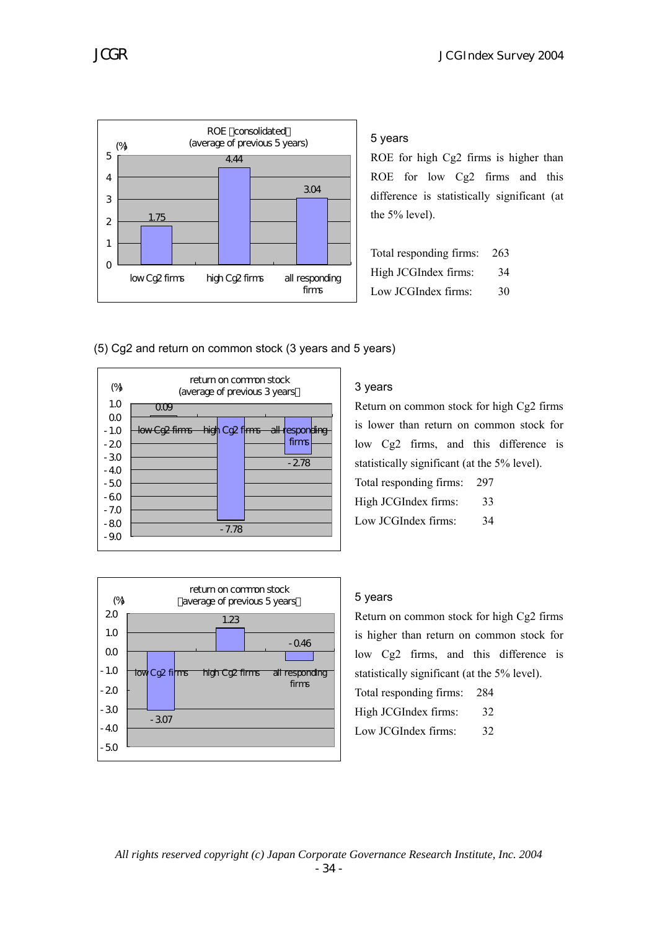

#### 5 years

ROE for high Cg2 firms is higher than ROE for low Cg2 firms and this difference is statistically significant (at the 5% level).

| Total responding firms: 263 |    |
|-----------------------------|----|
| High JCGIndex firms:        | 34 |
| Low JCGIndex firms:         | 30 |

(5) Cg2 and return on common stock (3 years and 5 years)





# 3 years

Return on common stock for high Cg2 firms is lower than return on common stock for low Cg2 firms, and this difference is statistically significant (at the 5% level). Total responding firms: 297 High JCGIndex firms: 33 Low JCGIndex firms: 34

## 5 years

Return on common stock for high Cg2 firms is higher than return on common stock for low Cg2 firms, and this difference is statistically significant (at the 5% level). Total responding firms: 284 High JCGIndex firms: 32

Low JCGIndex firms: 32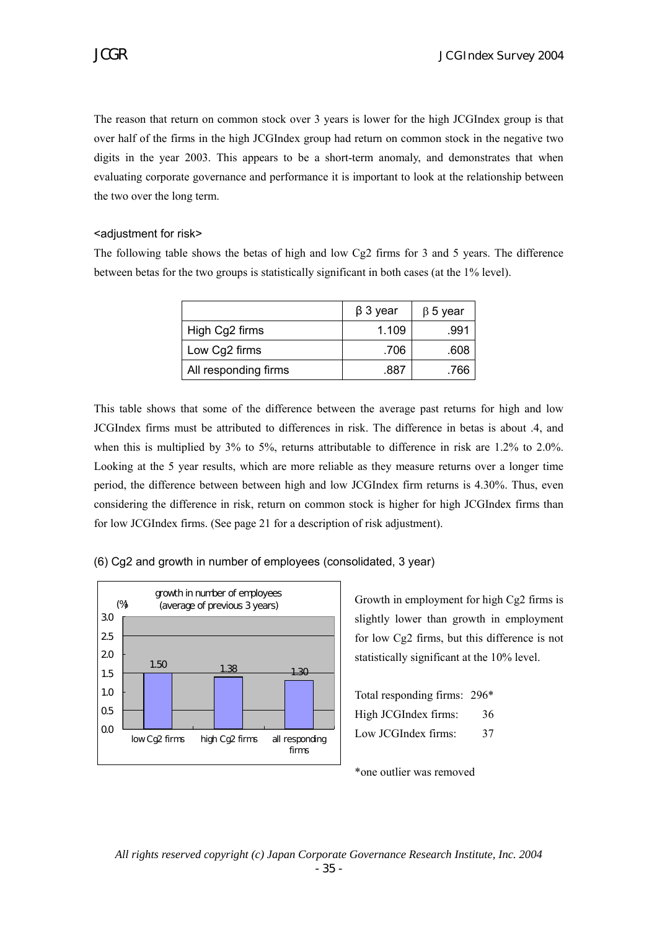The reason that return on common stock over 3 years is lower for the high JCGIndex group is that over half of the firms in the high JCGIndex group had return on common stock in the negative two digits in the year 2003. This appears to be a short-term anomaly, and demonstrates that when evaluating corporate governance and performance it is important to look at the relationship between the two over the long term.

#### <adjustment for risk>

The following table shows the betas of high and low Cg2 firms for 3 and 5 years. The difference between betas for the two groups is statistically significant in both cases (at the 1% level).

|                      | $\beta$ 3 year | $\beta$ 5 year |
|----------------------|----------------|----------------|
| High Cg2 firms       | 1.109          | .991           |
| Low Cg2 firms        | .706           | .608           |
| All responding firms | .887           | .766           |

This table shows that some of the difference between the average past returns for high and low JCGIndex firms must be attributed to differences in risk. The difference in betas is about .4, and when this is multiplied by 3% to 5%, returns attributable to difference in risk are 1.2% to 2.0%. Looking at the 5 year results, which are more reliable as they measure returns over a longer time period, the difference between between high and low JCGIndex firm returns is 4.30%. Thus, even considering the difference in risk, return on common stock is higher for high JCGIndex firms than for low JCGIndex firms. (See page 21 for a description of risk adjustment).

# (6) Cg2 and growth in number of employees (consolidated, 3 year)



Growth in employment for high Cg2 firms is slightly lower than growth in employment for low Cg2 firms, but this difference is not statistically significant at the 10% level.

| Total responding firms: 296 <sup>*</sup> |    |
|------------------------------------------|----|
| High JCGIndex firms:                     | 36 |
| Low JCGIndex firms:                      | 37 |

\*one outlier was removed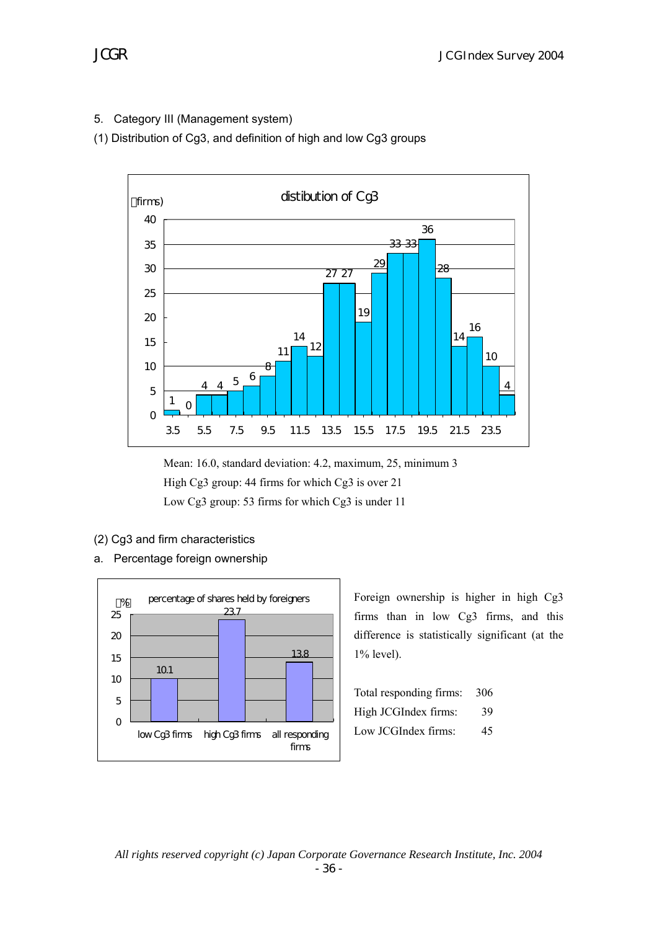5. Category III (Management system)

(1) Distribution of Cg3, and definition of high and low Cg3 groups



Mean: 16.0, standard deviation: 4.2, maximum, 25, minimum 3 High Cg3 group: 44 firms for which Cg3 is over 21 Low Cg3 group: 53 firms for which Cg3 is under 11

- (2) Cg3 and firm characteristics
- a. Percentage foreign ownership



Foreign ownership is higher in high Cg3 firms than in low Cg3 firms, and this difference is statistically significant (at the 1% level).

| Total responding firms: 306 |    |
|-----------------------------|----|
| High JCGIndex firms:        | 39 |
| Low JCGIndex firms:         | 45 |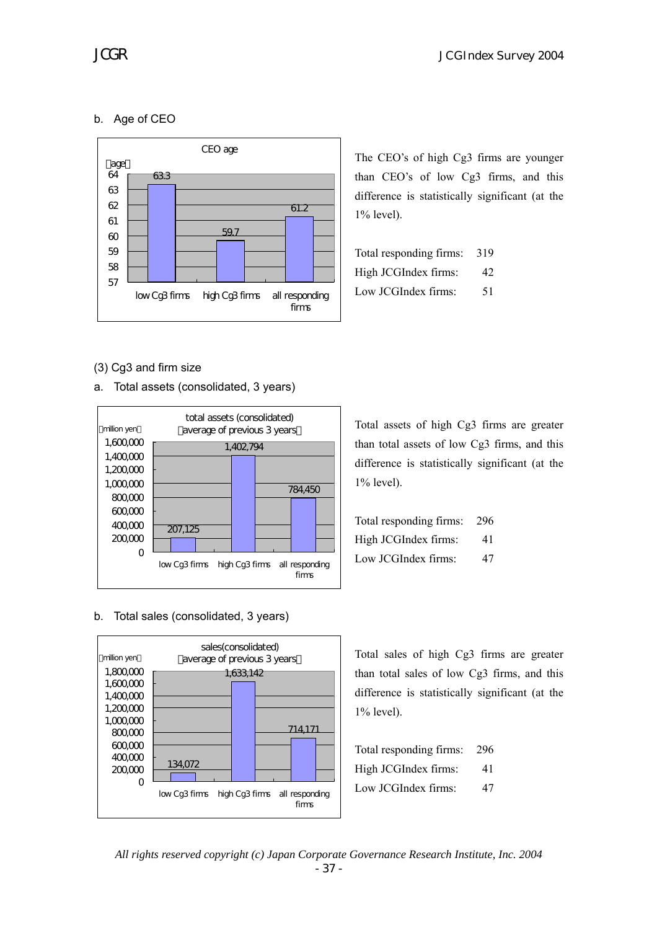# b. Age of CEO



The CEO's of high Cg3 firms are younger than CEO's of low Cg3 firms, and this difference is statistically significant (at the 1% level).

| Total responding firms: | 319 |
|-------------------------|-----|
| High JCGIndex firms:    | 42  |
| Low JCGIndex firms:     | 51  |

(3) Cg3 and firm size

a. Total assets (consolidated, 3 years)



b. Total sales (consolidated, 3 years)



Total assets of high Cg3 firms are greater than total assets of low Cg3 firms, and this difference is statistically significant (at the 1% level).

| Total responding firms: 296 |    |
|-----------------------------|----|
| High JCGIndex firms:        | 41 |
| Low JCGIndex firms:         | 47 |

Total sales of high Cg3 firms are greater than total sales of low Cg3 firms, and this difference is statistically significant (at the 1% level).

| Total responding firms: | 296 |
|-------------------------|-----|
| High JCGIndex firms:    | 41  |
| Low JCGIndex firms:     | 47  |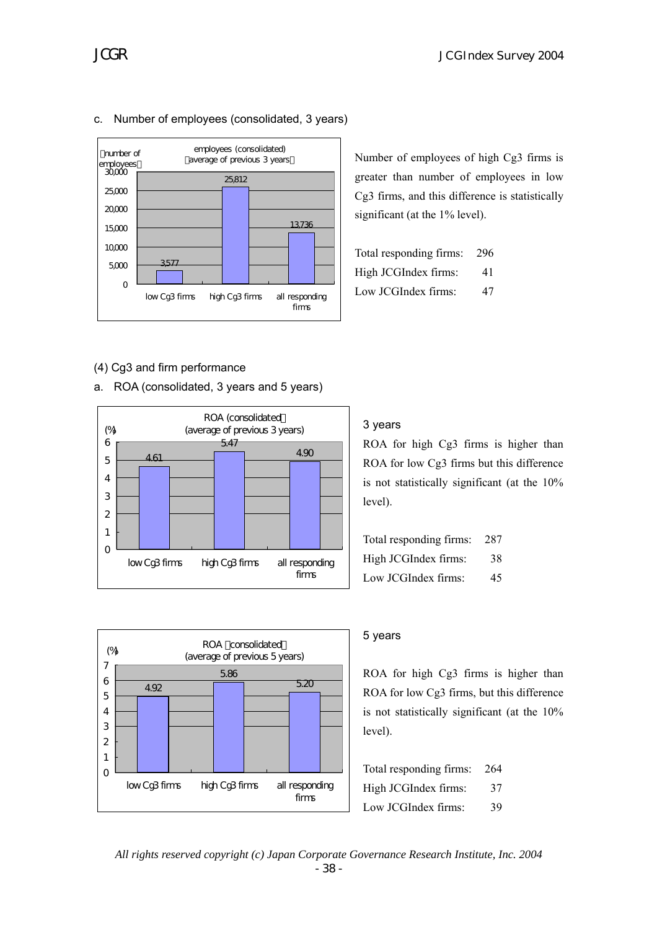

# c. Number of employees (consolidated, 3 years)

Number of employees of high Cg3 firms is greater than number of employees in low Cg3 firms, and this difference is statistically significant (at the 1% level).

| Total responding firms: | 296 |
|-------------------------|-----|
| High JCGIndex firms:    | 41  |
| Low JCGIndex firms:     | 47  |

## (4) Cg3 and firm performance

a. ROA (consolidated, 3 years and 5 years)



#### ROA consolidated (average of previous 5 years) 4.92 5.86 5.20  $\overline{O}$ 1 2 3 4 5 6 7 low Cg3 firms high Cg3 firms all responding firms (%)

# 3 years

ROA for high Cg3 firms is higher than ROA for low Cg3 firms but this difference is not statistically significant (at the 10% level).

| Total responding firms: 287 |    |
|-----------------------------|----|
| High JCGIndex firms:        | 38 |
| Low JCGIndex firms:         | 45 |

## 5 years

ROA for high Cg3 firms is higher than ROA for low Cg3 firms, but this difference is not statistically significant (at the 10% level).

| Total responding firms: | 264 |
|-------------------------|-----|
| High JCGIndex firms:    | 37  |
| Low JCGIndex firms:     | 39  |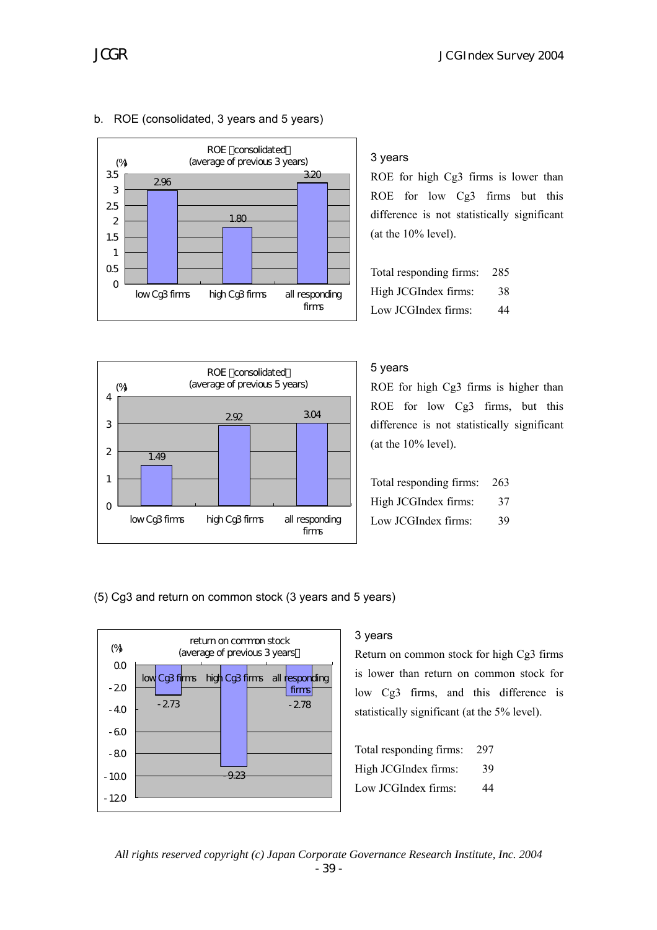

## b. ROE (consolidated, 3 years and 5 years)

# ROE consolidated (average of previous 5 years) 1.49 2.92 3.04  $\Omega$ 1 2 3 4 low Cg3 firms high Cg3 firms all responding firms (%)

# 3 years

ROE for high Cg3 firms is lower than ROE for low Cg3 firms but this difference is not statistically significant (at the 10% level).

| Total responding firms: | 285 |
|-------------------------|-----|
| High JCGIndex firms:    | 38  |
| Low JCGIndex firms:     | 44  |

# 5 years

ROE for high Cg3 firms is higher than ROE for low Cg3 firms, but this difference is not statistically significant (at the 10% level).

| Total responding firms: 263 |    |
|-----------------------------|----|
| High JCGIndex firms:        | 37 |
| Low JCGIndex firms:         | 39 |

(5) Cg3 and return on common stock (3 years and 5 years)



# 3 years

Return on common stock for high Cg3 firms is lower than return on common stock for low Cg3 firms, and this difference is statistically significant (at the 5% level).

Total responding firms: 297 High JCGIndex firms: 39 Low JCGIndex firms: 44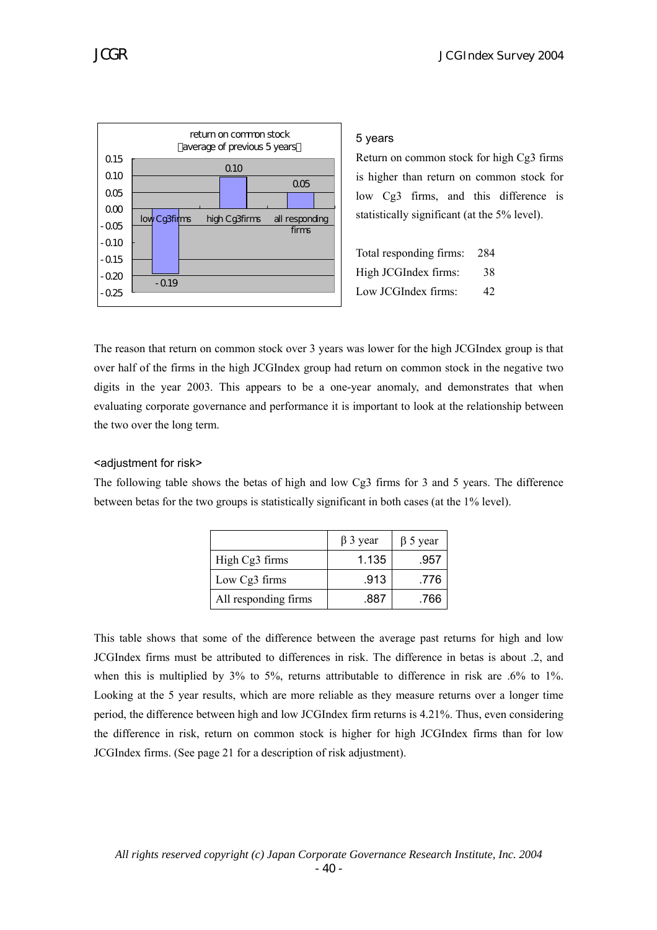

#### 5 years

Return on common stock for high Cg3 firms is higher than return on common stock for low Cg3 firms, and this difference is statistically significant (at the 5% level).

Total responding firms: 284 High JCGIndex firms: 38 Low JCGIndex firms: 42

The reason that return on common stock over 3 years was lower for the high JCGIndex group is that over half of the firms in the high JCGIndex group had return on common stock in the negative two digits in the year 2003. This appears to be a one-year anomaly, and demonstrates that when evaluating corporate governance and performance it is important to look at the relationship between the two over the long term.

#### <adjustment for risk>

The following table shows the betas of high and low Cg3 firms for 3 and 5 years. The difference between betas for the two groups is statistically significant in both cases (at the 1% level).

|                      | $\beta$ 3 year | $\beta$ 5 year |
|----------------------|----------------|----------------|
| High Cg3 firms       | 1.135          | .957           |
| Low Cg3 firms        | .913           | .776           |
| All responding firms | .887           | .766           |

This table shows that some of the difference between the average past returns for high and low JCGIndex firms must be attributed to differences in risk. The difference in betas is about .2, and when this is multiplied by 3% to 5%, returns attributable to difference in risk are .6% to 1%. Looking at the 5 year results, which are more reliable as they measure returns over a longer time period, the difference between high and low JCGIndex firm returns is 4.21%. Thus, even considering the difference in risk, return on common stock is higher for high JCGIndex firms than for low JCGIndex firms. (See page 21 for a description of risk adjustment).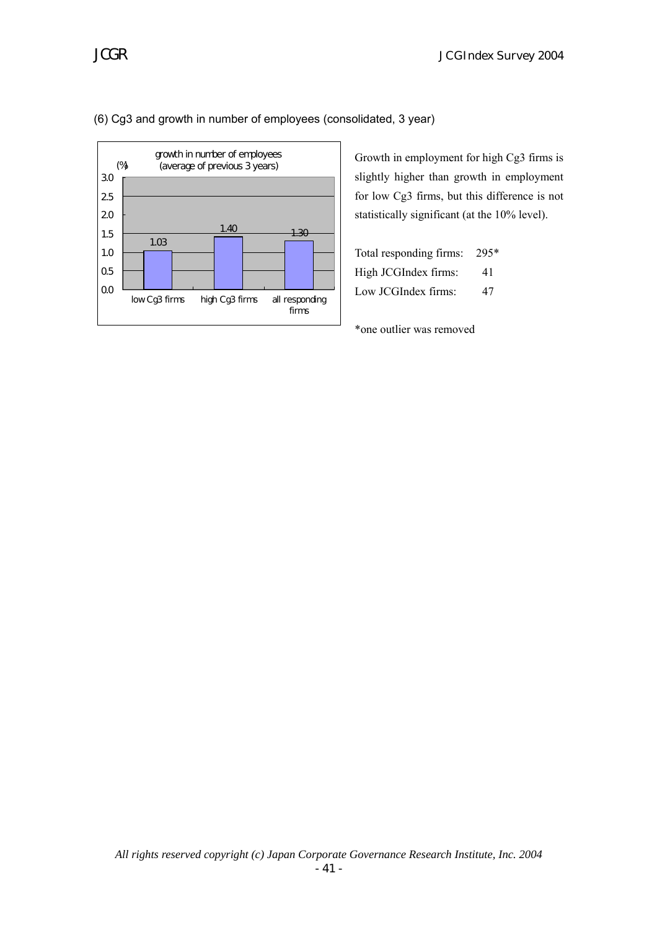

## (6) Cg3 and growth in number of employees (consolidated, 3 year)

Growth in employment for high Cg3 firms is slightly higher than growth in employment for low Cg3 firms, but this difference is not statistically significant (at the 10% level).

| Total responding firms: | 295* |
|-------------------------|------|
| High JCGIndex firms:    | 41   |
| Low JCGIndex firms:     | 47   |

\*one outlier was removed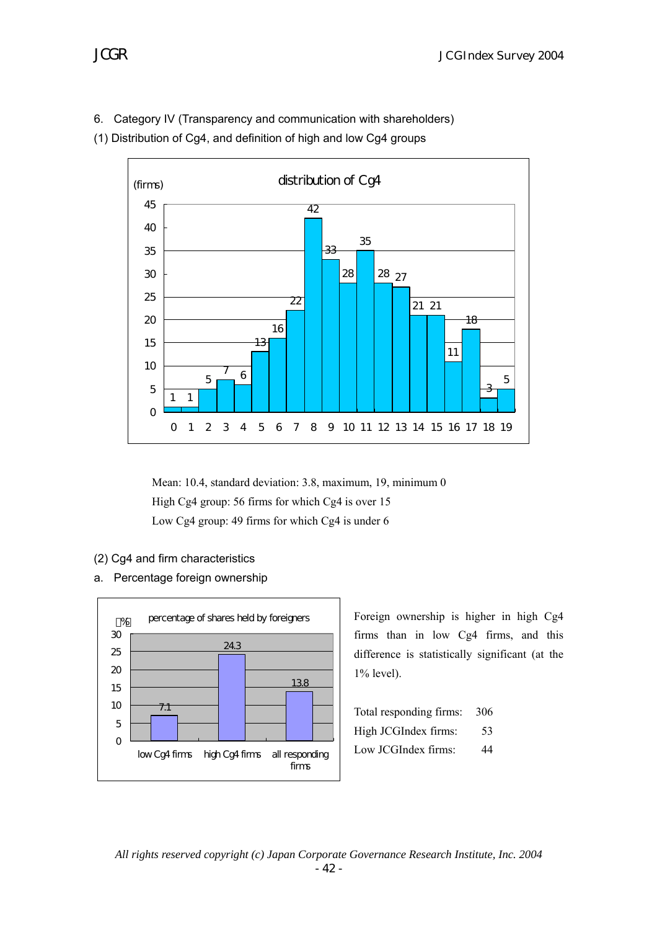6. Category IV (Transparency and communication with shareholders)

(1) Distribution of Cg4, and definition of high and low Cg4 groups



Mean: 10.4, standard deviation: 3.8, maximum, 19, minimum 0 High Cg4 group: 56 firms for which Cg4 is over 15 Low Cg4 group: 49 firms for which Cg4 is under 6

- (2) Cg4 and firm characteristics
- a. Percentage foreign ownership



Foreign ownership is higher in high Cg4 firms than in low Cg4 firms, and this difference is statistically significant (at the 1% level).

| Total responding firms: | 306 |
|-------------------------|-----|
| High JCGIndex firms:    | 53  |
| Low JCGIndex firms:     | 44  |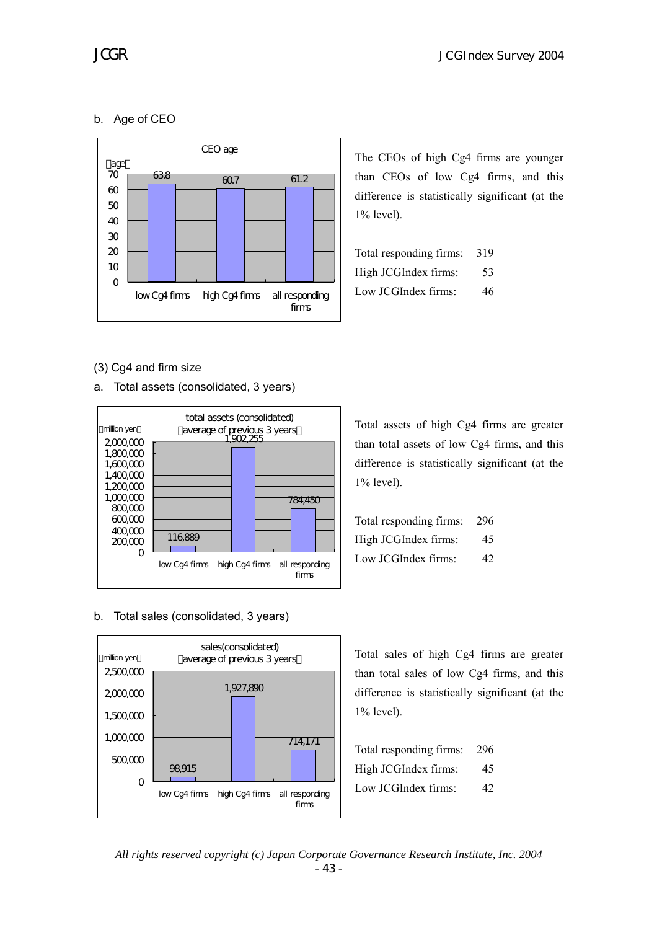# b. Age of CEO



The CEOs of high Cg4 firms are younger than CEOs of low Cg4 firms, and this difference is statistically significant (at the 1% level).

| Total responding firms: | 319 |
|-------------------------|-----|
| High JCGIndex firms:    | 53  |
| Low JCGIndex firms:     | 46  |

## (3) Cg4 and firm size

a. Total assets (consolidated, 3 years)



Total assets of high Cg4 firms are greater than total assets of low Cg4 firms, and this difference is statistically significant (at the 1% level).

| Total responding firms: 296 |    |
|-----------------------------|----|
| High JCGIndex firms:        | 45 |
| Low JCGIndex firms:         | 42 |

#### b. Total sales (consolidated, 3 years)



Total sales of high Cg4 firms are greater than total sales of low Cg4 firms, and this difference is statistically significant (at the 1% level).

| Total responding firms: | -296 |
|-------------------------|------|
| High JCGIndex firms:    | 45   |
| Low JCGIndex firms:     | 42   |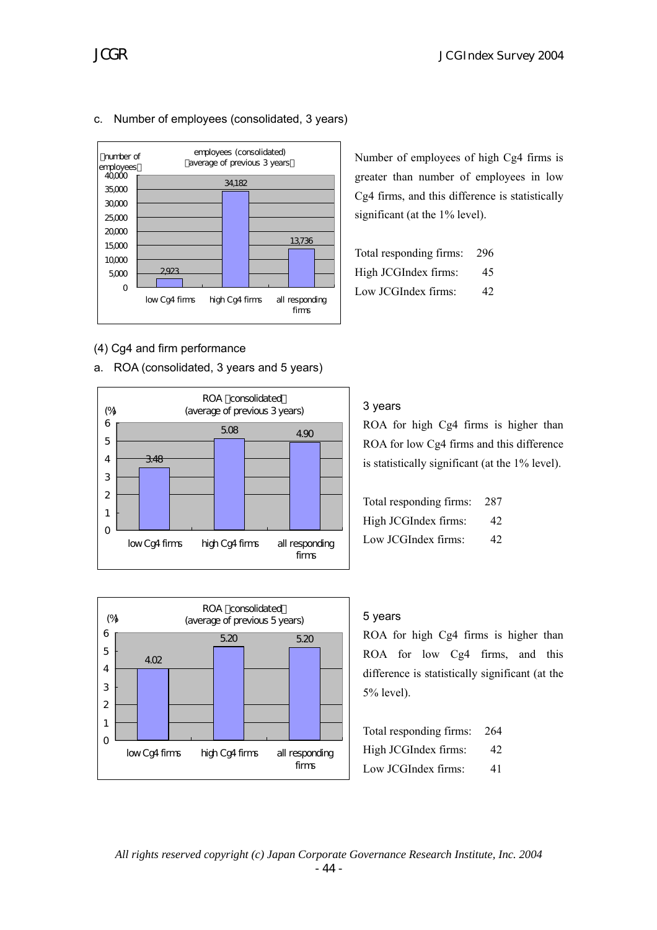

# c. Number of employees (consolidated, 3 years)

## (4) Cg4 and firm performance



#### ROA (consolidated) (average of previous 5 years) 4.02 5.20 5.20  $\mathbf 0$ 1 2 3 4 5 6 low Cg4 firms high Cg4 firms all responding firms (%)

Number of employees of high Cg4 firms is greater than number of employees in low Cg4 firms, and this difference is statistically significant (at the 1% level).

| Total responding firms: 296 |    |
|-----------------------------|----|
| High JCGIndex firms:        | 45 |
| Low JCGIndex firms:         | 42 |

## 3 years

ROA for high Cg4 firms is higher than ROA for low Cg4 firms and this difference is statistically significant (at the 1% level).

| Total responding firms: 287 |    |
|-----------------------------|----|
| High JCGIndex firms:        | 42 |
| Low JCGIndex firms:         | 42 |

#### 5 years

ROA for high Cg4 firms is higher than ROA for low Cg4 firms, and this difference is statistically significant (at the 5% level).

| Total responding firms: 264 |    |
|-----------------------------|----|
| High JCGIndex firms:        | 42 |
| Low JCGIndex firms:         | 41 |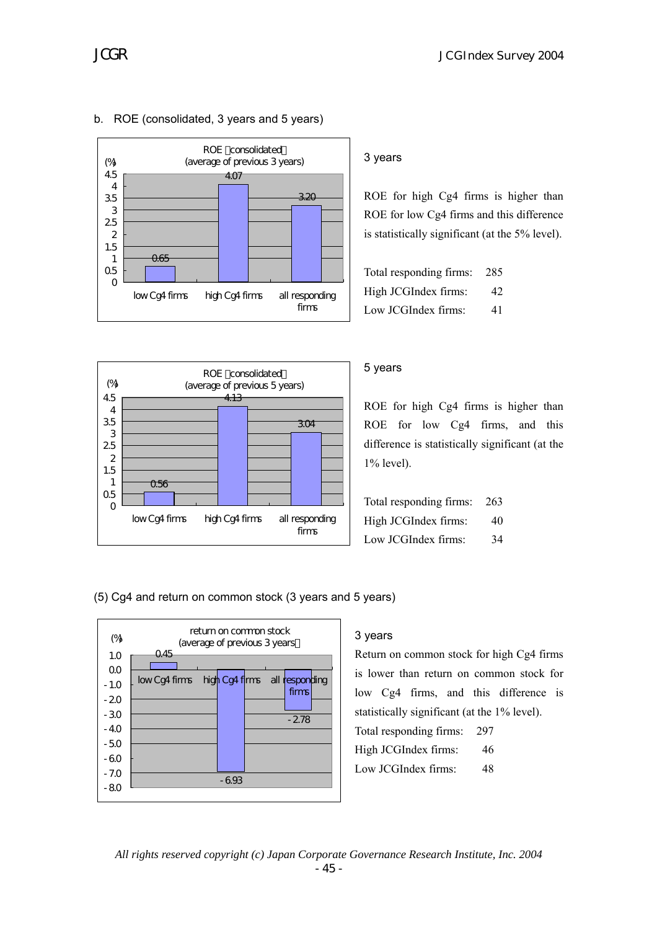

## b. ROE (consolidated, 3 years and 5 years)

# 3 years

ROE for high Cg4 firms is higher than ROE for low Cg4 firms and this difference is statistically significant (at the 5% level).

| Total responding firms: | -285 |
|-------------------------|------|
| High JCGIndex firms:    | 42   |
| Low JCGIndex firms:     | 41   |



## 5 years

ROE for high Cg4 firms is higher than ROE for low Cg4 firms, and this difference is statistically significant (at the 1% level).

| Total responding firms: 263 |    |
|-----------------------------|----|
| High JCGIndex firms:        | 40 |
| Low JCGIndex firms:         | 34 |

(5) Cg4 and return on common stock (3 years and 5 years)



# 3 years

Return on common stock for high Cg4 firms is lower than return on common stock for low Cg4 firms, and this difference is statistically significant (at the 1% level). Total responding firms: 297 High JCGIndex firms: 46 Low JCGIndex firms: 48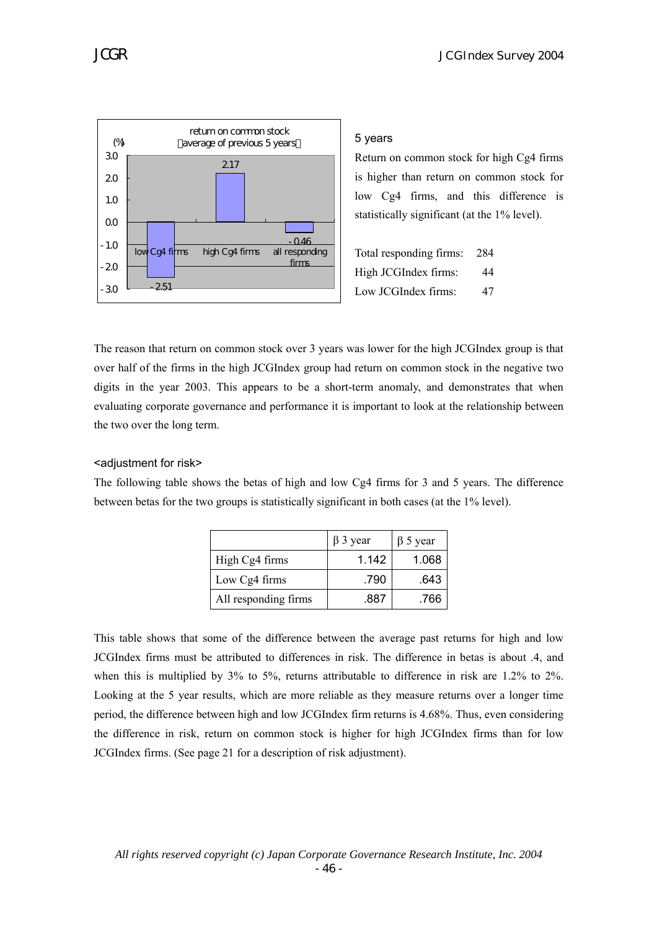

#### 5 years

Return on common stock for high Cg4 firms is higher than return on common stock for low Cg4 firms, and this difference is statistically significant (at the 1% level).

Total responding firms: 284 High JCGIndex firms: 44 Low JCGIndex firms: 47

The reason that return on common stock over 3 years was lower for the high JCGIndex group is that over half of the firms in the high JCGIndex group had return on common stock in the negative two digits in the year 2003. This appears to be a short-term anomaly, and demonstrates that when evaluating corporate governance and performance it is important to look at the relationship between the two over the long term.

#### <adjustment for risk>

The following table shows the betas of high and low Cg4 firms for 3 and 5 years. The difference between betas for the two groups is statistically significant in both cases (at the 1% level).

|                      | $\beta$ 3 year | $\beta$ 5 year |
|----------------------|----------------|----------------|
| High Cg4 firms       | 1.142          | 1.068          |
| Low Cg4 firms        | .790           | .643           |
| All responding firms | .887           | .766           |

This table shows that some of the difference between the average past returns for high and low JCGIndex firms must be attributed to differences in risk. The difference in betas is about .4, and when this is multiplied by 3% to 5%, returns attributable to difference in risk are 1.2% to 2%. Looking at the 5 year results, which are more reliable as they measure returns over a longer time period, the difference between high and low JCGIndex firm returns is 4.68%. Thus, even considering the difference in risk, return on common stock is higher for high JCGIndex firms than for low JCGIndex firms. (See page 21 for a description of risk adjustment).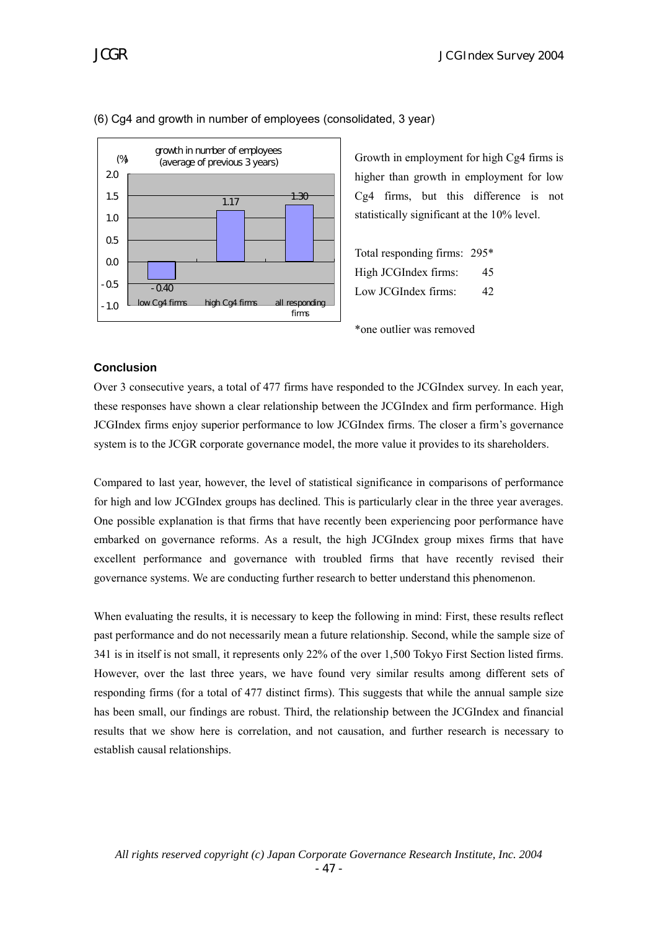



#### (6) Cg4 and growth in number of employees (consolidated, 3 year)

Growth in employment for high Cg4 firms is higher than growth in employment for low Cg4 firms, but this difference is not statistically significant at the 10% level.

Total responding firms: 295\* High JCGIndex firms: 45 Low JCGIndex firms: 42

\*one outlier was removed

#### **Conclusion**

Over 3 consecutive years, a total of 477 firms have responded to the JCGIndex survey. In each year, these responses have shown a clear relationship between the JCGIndex and firm performance. High JCGIndex firms enjoy superior performance to low JCGIndex firms. The closer a firm's governance system is to the JCGR corporate governance model, the more value it provides to its shareholders.

Compared to last year, however, the level of statistical significance in comparisons of performance for high and low JCGIndex groups has declined. This is particularly clear in the three year averages. One possible explanation is that firms that have recently been experiencing poor performance have embarked on governance reforms. As a result, the high JCGIndex group mixes firms that have excellent performance and governance with troubled firms that have recently revised their governance systems. We are conducting further research to better understand this phenomenon.

When evaluating the results, it is necessary to keep the following in mind: First, these results reflect past performance and do not necessarily mean a future relationship. Second, while the sample size of 341 is in itself is not small, it represents only 22% of the over 1,500 Tokyo First Section listed firms. However, over the last three years, we have found very similar results among different sets of responding firms (for a total of 477 distinct firms). This suggests that while the annual sample size has been small, our findings are robust. Third, the relationship between the JCGIndex and financial results that we show here is correlation, and not causation, and further research is necessary to establish causal relationships.